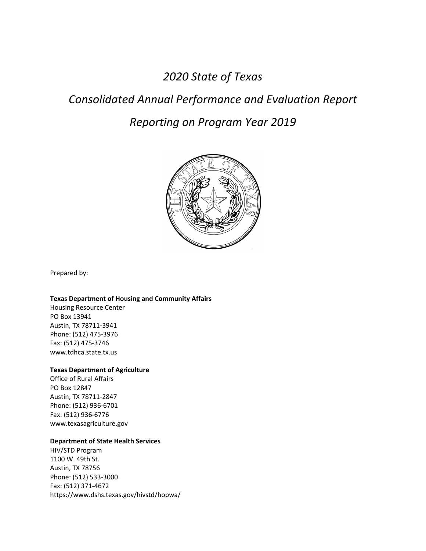*2020 State of Texas*

# *Consolidated Annual Performance and Evaluation Report*

# *Reporting on Program Year 2019*



Prepared by:

#### **Texas Department of Housing and Community Affairs**

Housing Resource Center PO Box 13941 Austin, TX 78711-3941 Phone: (512) 475-3976 Fax: (512) 475-3746 www.tdhca.state.tx.us

#### **Texas Department of Agriculture**

Office of Rural Affairs PO Box 12847 Austin, TX 78711-2847 Phone: (512) 936-6701 Fax: (512) 936-6776 www.texasagriculture.gov

#### **Department of State Health Services**

HIV/STD Program 1100 W. 49th St. Austin, TX 78756 Phone: (512) 533-3000 Fax: (512) 371-4672 https://www.dshs.texas.gov/hivstd/hopwa/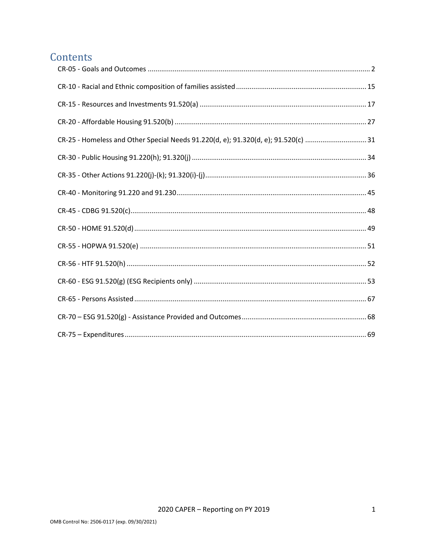# Contents

| CR-25 - Homeless and Other Special Needs 91.220(d, e); 91.320(d, e); 91.520(c) 31 |  |
|-----------------------------------------------------------------------------------|--|
|                                                                                   |  |
|                                                                                   |  |
|                                                                                   |  |
|                                                                                   |  |
|                                                                                   |  |
|                                                                                   |  |
|                                                                                   |  |
|                                                                                   |  |
|                                                                                   |  |
|                                                                                   |  |
|                                                                                   |  |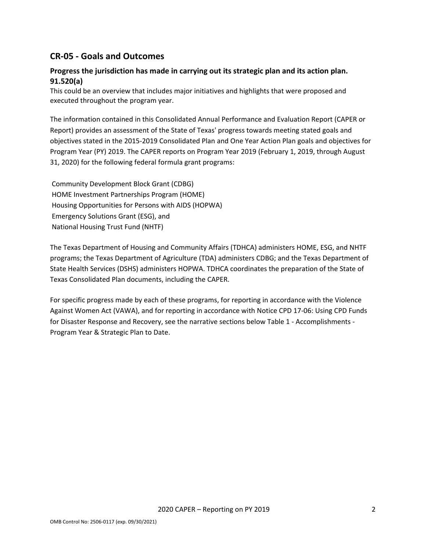# <span id="page-2-0"></span>**CR-05 - Goals and Outcomes**

# **Progress the jurisdiction has made in carrying out its strategic plan and its action plan. 91.520(a)**

This could be an overview that includes major initiatives and highlights that were proposed and executed throughout the program year.

The information contained in this Consolidated Annual Performance and Evaluation Report (CAPER or Report) provides an assessment of the State of Texas' progress towards meeting stated goals and objectives stated in the 2015-2019 Consolidated Plan and One Year Action Plan goals and objectives for Program Year (PY) 2019. The CAPER reports on Program Year 2019 (February 1, 2019, through August 31, 2020) for the following federal formula grant programs:

Community Development Block Grant (CDBG) HOME Investment Partnerships Program (HOME) Housing Opportunities for Persons with AIDS (HOPWA) Emergency Solutions Grant (ESG), and National Housing Trust Fund (NHTF)

The Texas Department of Housing and Community Affairs (TDHCA) administers HOME, ESG, and NHTF programs; the Texas Department of Agriculture (TDA) administers CDBG; and the Texas Department of State Health Services (DSHS) administers HOPWA. TDHCA coordinates the preparation of the State of Texas Consolidated Plan documents, including the CAPER.

For specific progress made by each of these programs, for reporting in accordance with the Violence Against Women Act (VAWA), and for reporting in accordance with Notice CPD 17-06: Using CPD Funds for Disaster Response and Recovery, see the narrative sections below Table 1 - Accomplishments - Program Year & Strategic Plan to Date.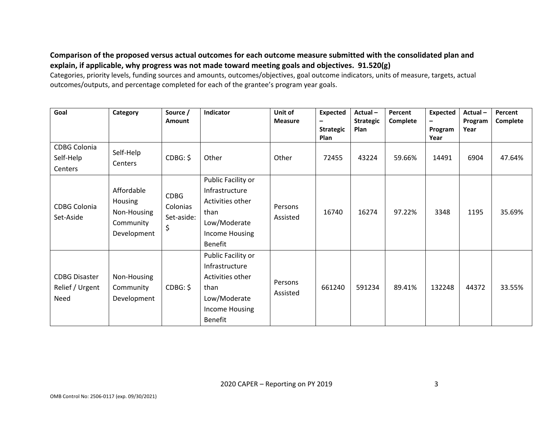# **Comparison of the proposed versus actual outcomes for each outcome measure submitted with the consolidated plan and explain, if applicable, why progress was not made toward meeting goals and objectives. 91.520(g)**

Categories, priority levels, funding sources and amounts, outcomes/objectives, goal outcome indicators, units of measure, targets, actual outcomes/outputs, and percentage completed for each of the grantee's program year goals.

| Goal                                            | Category                                                         | Source /<br><b>Amount</b>                   | Indicator                                                                                                     | Unit of<br><b>Measure</b> | <b>Expected</b><br><b>Strategic</b><br>Plan | Actual-<br><b>Strategic</b><br>Plan | Percent<br>Complete | <b>Expected</b><br>Program<br>Year | Actual-<br>Program<br>Year | Percent<br>Complete |
|-------------------------------------------------|------------------------------------------------------------------|---------------------------------------------|---------------------------------------------------------------------------------------------------------------|---------------------------|---------------------------------------------|-------------------------------------|---------------------|------------------------------------|----------------------------|---------------------|
| <b>CDBG Colonia</b><br>Self-Help<br>Centers     | Self-Help<br>Centers                                             | CDBG: \$                                    | Other                                                                                                         | Other                     | 72455                                       | 43224                               | 59.66%              | 14491                              | 6904                       | 47.64%              |
| <b>CDBG Colonia</b><br>Set-Aside                | Affordable<br>Housing<br>Non-Housing<br>Community<br>Development | <b>CDBG</b><br>Colonias<br>Set-aside:<br>\$ | Public Facility or<br>Infrastructure<br>Activities other<br>than<br>Low/Moderate<br>Income Housing<br>Benefit | Persons<br>Assisted       | 16740                                       | 16274                               | 97.22%              | 3348                               | 1195                       | 35.69%              |
| <b>CDBG Disaster</b><br>Relief / Urgent<br>Need | Non-Housing<br>Community<br>Development                          | CDBG: \$                                    | Public Facility or<br>Infrastructure<br>Activities other<br>than<br>Low/Moderate<br>Income Housing<br>Benefit | Persons<br>Assisted       | 661240                                      | 591234                              | 89.41%              | 132248                             | 44372                      | 33.55%              |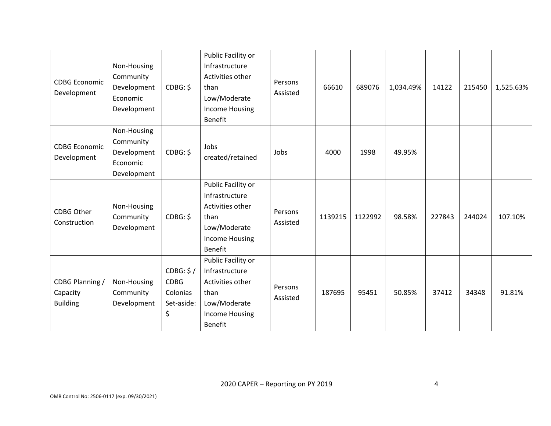| <b>CDBG Economic</b><br>Development            | Non-Housing<br>Community<br>Development<br>Economic<br>Development | CDBG: \$                                                 | Public Facility or<br>Infrastructure<br>Activities other<br>than<br>Low/Moderate<br><b>Income Housing</b><br>Benefit | Persons<br>Assisted | 66610   | 689076  | 1,034.49% | 14122  | 215450 | 1,525.63% |
|------------------------------------------------|--------------------------------------------------------------------|----------------------------------------------------------|----------------------------------------------------------------------------------------------------------------------|---------------------|---------|---------|-----------|--------|--------|-----------|
| <b>CDBG Economic</b><br>Development            | Non-Housing<br>Community<br>Development<br>Economic<br>Development | CDBG: \$                                                 | Jobs<br>created/retained                                                                                             | Jobs                | 4000    | 1998    | 49.95%    |        |        |           |
| CDBG Other<br>Construction                     | Non-Housing<br>Community<br>Development                            | CDBG: \$                                                 | Public Facility or<br>Infrastructure<br>Activities other<br>than<br>Low/Moderate<br><b>Income Housing</b><br>Benefit | Persons<br>Assisted | 1139215 | 1122992 | 98.58%    | 227843 | 244024 | 107.10%   |
| CDBG Planning /<br>Capacity<br><b>Building</b> | Non-Housing<br>Community<br>Development                            | CDBG: \$/<br><b>CDBG</b><br>Colonias<br>Set-aside:<br>\$ | Public Facility or<br>Infrastructure<br>Activities other<br>than<br>Low/Moderate<br>Income Housing<br>Benefit        | Persons<br>Assisted | 187695  | 95451   | 50.85%    | 37412  | 34348  | 91.81%    |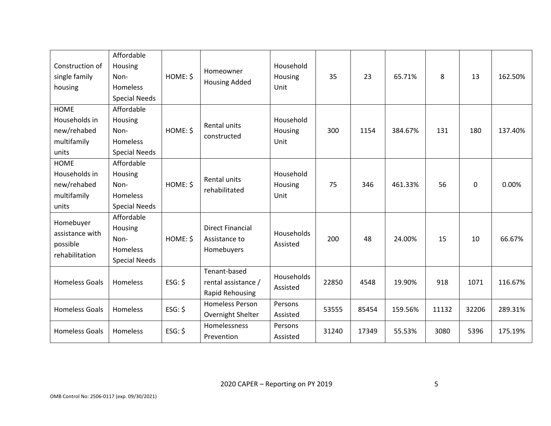| Construction of<br>single family<br>housing                         | Affordable<br>Housing<br>Non-<br>Homeless<br><b>Special Needs</b>        | HOME: \$  | Homeowner<br><b>Housing Added</b>                      | Household<br>Housing<br>Unit | 35    | 23    | 65.71%  | 8     | 13    | 162.50% |
|---------------------------------------------------------------------|--------------------------------------------------------------------------|-----------|--------------------------------------------------------|------------------------------|-------|-------|---------|-------|-------|---------|
| <b>HOME</b><br>Households in<br>new/rehabed<br>multifamily<br>units | Affordable<br>Housing<br>Non-<br>Homeless<br><b>Special Needs</b>        | HOME: \$  | Rental units<br>constructed                            | Household<br>Housing<br>Unit | 300   | 1154  | 384.67% | 131   | 180   | 137.40% |
| <b>HOME</b><br>Households in<br>new/rehabed<br>multifamily<br>units | Affordable<br>Housing<br>Non-<br><b>Homeless</b><br><b>Special Needs</b> | HOME: \$  | Rental units<br>rehabilitated                          | Household<br>Housing<br>Unit | 75    | 346   | 461.33% | 56    | 0     | 0.00%   |
| Homebuyer<br>assistance with<br>possible<br>rehabilitation          | Affordable<br>Housing<br>Non-<br>Homeless<br><b>Special Needs</b>        | HOME: \$  | <b>Direct Financial</b><br>Assistance to<br>Homebuyers | Households<br>Assisted       | 200   | 48    | 24.00%  | 15    | 10    | 66.67%  |
| <b>Homeless Goals</b>                                               | <b>Homeless</b>                                                          | $ESG:$ \$ | Tenant-based<br>rental assistance /<br>Rapid Rehousing | Households<br>Assisted       | 22850 | 4548  | 19.90%  | 918   | 1071  | 116.67% |
| <b>Homeless Goals</b>                                               | Homeless                                                                 | $ESG:$ \$ | <b>Homeless Person</b><br>Overnight Shelter            | Persons<br>Assisted          | 53555 | 85454 | 159.56% | 11132 | 32206 | 289.31% |
| <b>Homeless Goals</b>                                               | Homeless                                                                 | $ESG:$ \$ | Homelessness<br>Prevention                             | Persons<br>Assisted          | 31240 | 17349 | 55.53%  | 3080  | 5396  | 175.19% |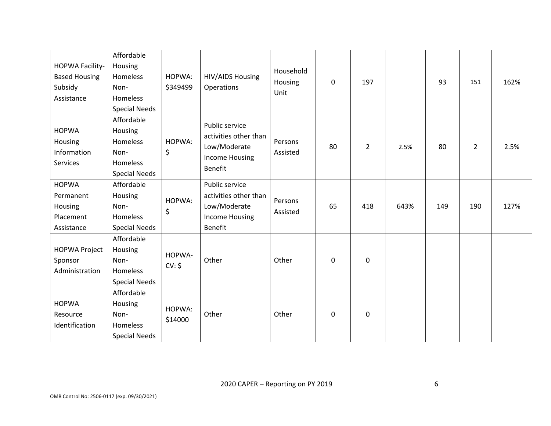|                      | Affordable           |          |                                  |                 |              |                |      |     |             |      |
|----------------------|----------------------|----------|----------------------------------|-----------------|--------------|----------------|------|-----|-------------|------|
| HOPWA Facility-      | Housing              |          |                                  |                 |              |                |      |     |             |      |
| <b>Based Housing</b> | Homeless             | HOPWA:   | HIV/AIDS Housing<br>Operations   | Household       |              | 197            |      | 93  |             | 162% |
| Subsidy              | Non-                 | \$349499 |                                  | Housing<br>Unit | $\mathbf 0$  |                |      |     | 151         |      |
| Assistance           | Homeless             |          |                                  |                 |              |                |      |     |             |      |
|                      | <b>Special Needs</b> |          |                                  |                 |              |                |      |     |             |      |
|                      | Affordable           |          | Public service                   |                 |              |                |      |     |             |      |
| <b>HOPWA</b>         | Housing              |          | activities other than            |                 |              |                |      |     |             |      |
| Housing              | Homeless             | HOPWA:   |                                  | Persons         | 80           |                |      | 80  | $2^{\circ}$ | 2.5% |
| Information          | Non-                 | \$       | Low/Moderate                     | Assisted        |              | $\overline{2}$ | 2.5% |     |             |      |
| Services             | Homeless             |          | Income Housing<br><b>Benefit</b> |                 |              |                |      |     |             |      |
|                      | <b>Special Needs</b> |          |                                  |                 |              |                |      |     |             |      |
| <b>HOPWA</b>         | Affordable           |          | Public service                   |                 |              |                |      |     |             |      |
| Permanent            | Housing              | HOPWA:   | activities other than            | Persons         |              |                |      |     |             |      |
| Housing              | Non-                 | \$       | Low/Moderate                     | Assisted        | 65           | 418            | 643% | 149 | 190         | 127% |
| Placement            | Homeless             |          | Income Housing                   |                 |              |                |      |     |             |      |
| Assistance           | <b>Special Needs</b> |          | <b>Benefit</b>                   |                 |              |                |      |     |             |      |
|                      | Affordable           |          |                                  |                 |              |                |      |     |             |      |
| <b>HOPWA Project</b> | Housing              | HOPWA-   |                                  |                 |              |                |      |     |             |      |
| Sponsor              | Non-                 | CV: \$   | Other                            | Other           | $\mathbf{0}$ | $\mathbf 0$    |      |     |             |      |
| Administration       | Homeless             |          |                                  |                 |              |                |      |     |             |      |
|                      | <b>Special Needs</b> |          |                                  |                 |              |                |      |     |             |      |
|                      | Affordable           |          |                                  |                 |              |                |      |     |             |      |
| <b>HOPWA</b>         | Housing              | HOPWA:   |                                  |                 |              |                |      |     |             |      |
| Resource             | Non-                 | \$14000  | Other                            | Other           | 0            | 0              |      |     |             |      |
| Identification       | Homeless             |          |                                  |                 |              |                |      |     |             |      |
|                      | <b>Special Needs</b> |          |                                  |                 |              |                |      |     |             |      |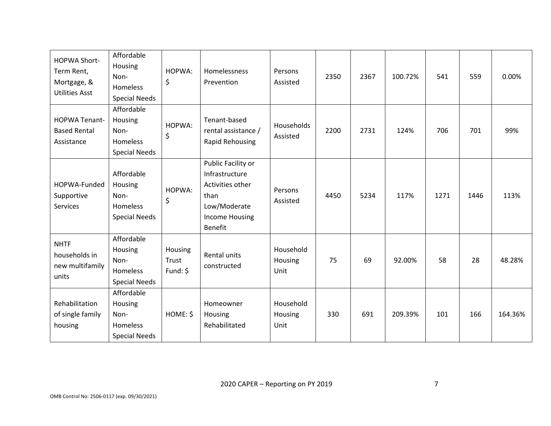| <b>HOPWA Short-</b><br>Term Rent,<br>Mortgage, &<br><b>Utilities Asst</b> | Affordable<br>Housing<br>Non-<br>Homeless<br><b>Special Needs</b>        | HOPWA:<br>\$                 | Homelessness<br>Prevention                                                                                                  | Persons<br>Assisted          | 2350 | 2367 | 100.72% | 541  | 559  | 0.00%   |
|---------------------------------------------------------------------------|--------------------------------------------------------------------------|------------------------------|-----------------------------------------------------------------------------------------------------------------------------|------------------------------|------|------|---------|------|------|---------|
| <b>HOPWA Tenant-</b><br><b>Based Rental</b><br>Assistance                 | Affordable<br>Housing<br>Non-<br>Homeless<br><b>Special Needs</b>        | HOPWA:<br>\$                 | Tenant-based<br>rental assistance /<br>Rapid Rehousing                                                                      | Households<br>Assisted       | 2200 | 2731 | 124%    | 706  | 701  | 99%     |
| HOPWA-Funded<br>Supportive<br>Services                                    | Affordable<br>Housing<br>Non-<br><b>Homeless</b><br><b>Special Needs</b> | HOPWA:<br>\$                 | Public Facility or<br>Infrastructure<br>Activities other<br>than<br>Low/Moderate<br><b>Income Housing</b><br><b>Benefit</b> | Persons<br>Assisted          | 4450 | 5234 | 117%    | 1271 | 1446 | 113%    |
| <b>NHTF</b><br>households in<br>new multifamily<br>units                  | Affordable<br>Housing<br>Non-<br>Homeless<br><b>Special Needs</b>        | Housing<br>Trust<br>Fund: \$ | Rental units<br>constructed                                                                                                 | Household<br>Housing<br>Unit | 75   | 69   | 92.00%  | 58   | 28   | 48.28%  |
| Rehabilitation<br>of single family<br>housing                             | Affordable<br>Housing<br>Non-<br><b>Homeless</b><br><b>Special Needs</b> | HOME: \$                     | Homeowner<br>Housing<br>Rehabilitated                                                                                       | Household<br>Housing<br>Unit | 330  | 691  | 209.39% | 101  | 166  | 164.36% |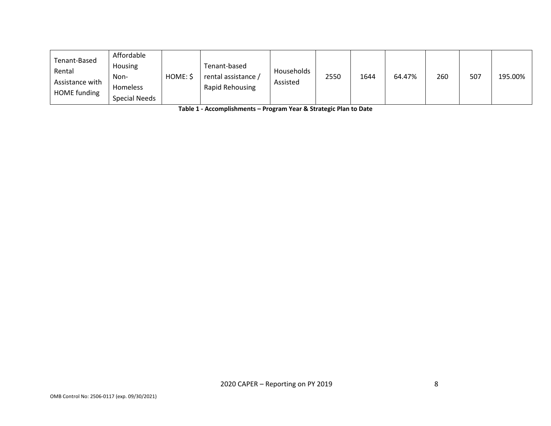| Tenant-Based    | Affordable           |          |                     |            |      |      |        |     |     |         |
|-----------------|----------------------|----------|---------------------|------------|------|------|--------|-----|-----|---------|
| Rental          | <b>Housing</b>       |          | Tenant-based        | Households |      |      |        |     |     |         |
| Assistance with | Non-                 | HOME: \$ | rental assistance / | Assisted   | 2550 | 1644 | 64.47% | 260 | 507 | 195.00% |
| HOME funding    | <b>Homeless</b>      |          | Rapid Rehousing     |            |      |      |        |     |     |         |
|                 | <b>Special Needs</b> |          |                     |            |      |      |        |     |     |         |

**Table 1 - Accomplishments – Program Year & Strategic Plan to Date**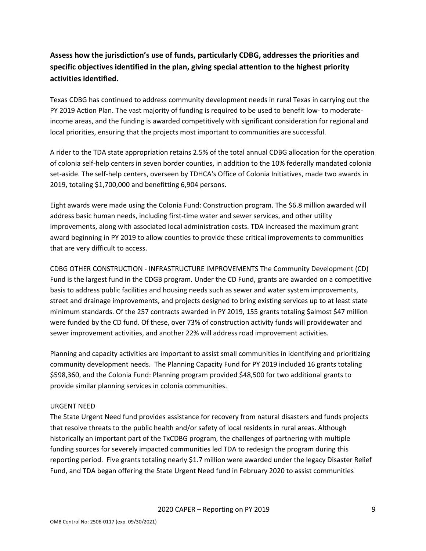# **Assess how the jurisdiction's use of funds, particularly CDBG, addresses the priorities and specific objectives identified in the plan, giving special attention to the highest priority activities identified.**

Texas CDBG has continued to address community development needs in rural Texas in carrying out the PY 2019 Action Plan. The vast majority of funding is required to be used to benefit low- to moderateincome areas, and the funding is awarded competitively with significant consideration for regional and local priorities, ensuring that the projects most important to communities are successful.

A rider to the TDA state appropriation retains 2.5% of the total annual CDBG allocation for the operation of colonia self-help centers in seven border counties, in addition to the 10% federally mandated colonia set-aside. The self-help centers, overseen by TDHCA's Office of Colonia Initiatives, made two awards in 2019, totaling \$1,700,000 and benefitting 6,904 persons.

Eight awards were made using the Colonia Fund: Construction program. The \$6.8 million awarded will address basic human needs, including first-time water and sewer services, and other utility improvements, along with associated local administration costs. TDA increased the maximum grant award beginning in PY 2019 to allow counties to provide these critical improvements to communities that are very difficult to access.

CDBG OTHER CONSTRUCTION - INFRASTRUCTURE IMPROVEMENTS The Community Development (CD) Fund is the largest fund in the CDGB program. Under the CD Fund, grants are awarded on a competitive basis to address public facilities and housing needs such as sewer and water system improvements, street and drainage improvements, and projects designed to bring existing services up to at least state minimum standards. Of the 257 contracts awarded in PY 2019, 155 grants totaling \$almost \$47 million were funded by the CD fund. Of these, over 73% of construction activity funds will providewater and sewer improvement activities, and another 22% will address road improvement activities.

Planning and capacity activities are important to assist small communities in identifying and prioritizing community development needs. The Planning Capacity Fund for PY 2019 included 16 grants totaling \$598,360, and the Colonia Fund: Planning program provided \$48,500 for two additional grants to provide similar planning services in colonia communities.

## URGENT NEED

The State Urgent Need fund provides assistance for recovery from natural disasters and funds projects that resolve threats to the public health and/or safety of local residents in rural areas. Although historically an important part of the TxCDBG program, the challenges of partnering with multiple funding sources for severely impacted communities led TDA to redesign the program during this reporting period. Five grants totaling nearly \$1.7 million were awarded under the legacy Disaster Relief Fund, and TDA began offering the State Urgent Need fund in February 2020 to assist communities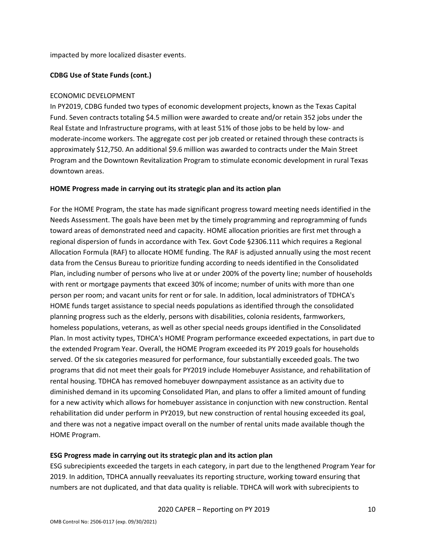impacted by more localized disaster events.

### **CDBG Use of State Funds (cont.)**

### ECONOMIC DEVELOPMENT

In PY2019, CDBG funded two types of economic development projects, known as the Texas Capital Fund. Seven contracts totaling \$4.5 million were awarded to create and/or retain 352 jobs under the Real Estate and Infrastructure programs, with at least 51% of those jobs to be held by low- and moderate-income workers. The aggregate cost per job created or retained through these contracts is approximately \$12,750. An additional \$9.6 million was awarded to contracts under the Main Street Program and the Downtown Revitalization Program to stimulate economic development in rural Texas downtown areas.

#### **HOME Progress made in carrying out its strategic plan and its action plan**

For the HOME Program, the state has made significant progress toward meeting needs identified in the Needs Assessment. The goals have been met by the timely programming and reprogramming of funds toward areas of demonstrated need and capacity. HOME allocation priorities are first met through a regional dispersion of funds in accordance with Tex. Govt Code §2306.111 which requires a Regional Allocation Formula (RAF) to allocate HOME funding. The RAF is adjusted annually using the most recent data from the Census Bureau to prioritize funding according to needs identified in the Consolidated Plan, including number of persons who live at or under 200% of the poverty line; number of households with rent or mortgage payments that exceed 30% of income; number of units with more than one person per room; and vacant units for rent or for sale. In addition, local administrators of TDHCA's HOME funds target assistance to special needs populations as identified through the consolidated planning progress such as the elderly, persons with disabilities, colonia residents, farmworkers, homeless populations, veterans, as well as other special needs groups identified in the Consolidated Plan. In most activity types, TDHCA's HOME Program performance exceeded expectations, in part due to the extended Program Year. Overall, the HOME Program exceeded its PY 2019 goals for households served. Of the six categories measured for performance, four substantially exceeded goals. The two programs that did not meet their goals for PY2019 include Homebuyer Assistance, and rehabilitation of rental housing. TDHCA has removed homebuyer downpayment assistance as an activity due to diminished demand in its upcoming Consolidated Plan, and plans to offer a limited amount of funding for a new activity which allows for homebuyer assistance in conjunction with new construction. Rental rehabilitation did under perform in PY2019, but new construction of rental housing exceeded its goal, and there was not a negative impact overall on the number of rental units made available though the HOME Program.

#### **ESG Progress made in carrying out its strategic plan and its action plan**

ESG subrecipients exceeded the targets in each category, in part due to the lengthened Program Year for 2019. In addition, TDHCA annually reevaluates its reporting structure, working toward ensuring that numbers are not duplicated, and that data quality is reliable. TDHCA will work with subrecipients to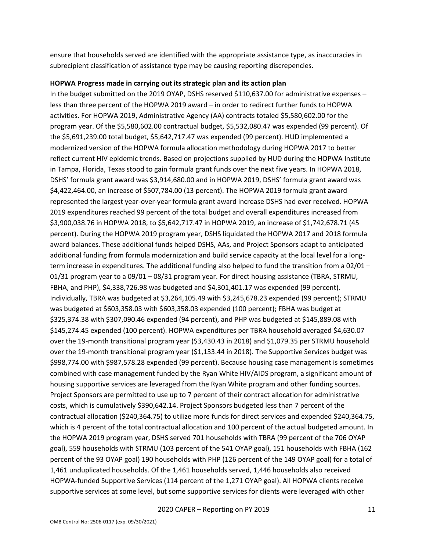ensure that households served are identified with the appropriate assistance type, as inaccuracies in subrecipient classification of assistance type may be causing reporting discrepencies.

#### **HOPWA Progress made in carrying out its strategic plan and its action plan**

In the budget submitted on the 2019 OYAP, DSHS reserved \$110,637.00 for administrative expenses – less than three percent of the HOPWA 2019 award – in order to redirect further funds to HOPWA activities. For HOPWA 2019, Administrative Agency (AA) contracts totaled \$5,580,602.00 for the program year. Of the \$5,580,602.00 contractual budget, \$5,532,080.47 was expended (99 percent). Of the \$5,691,239.00 total budget, \$5,642,717.47 was expended (99 percent). HUD implemented a modernized version of the HOPWA formula allocation methodology during HOPWA 2017 to better reflect current HIV epidemic trends. Based on projections supplied by HUD during the HOPWA Institute in Tampa, Florida, Texas stood to gain formula grant funds over the next five years. In HOPWA 2018, DSHS' formula grant award was \$3,914,680.00 and in HOPWA 2019, DSHS' formula grant award was \$4,422,464.00, an increase of \$507,784.00 (13 percent). The HOPWA 2019 formula grant award represented the largest year-over-year formula grant award increase DSHS had ever received. HOPWA 2019 expenditures reached 99 percent of the total budget and overall expenditures increased from \$3,900,038.76 in HOPWA 2018, to \$5,642,717.47 in HOPWA 2019, an increase of \$1,742,678.71 (45 percent). During the HOPWA 2019 program year, DSHS liquidated the HOPWA 2017 and 2018 formula award balances. These additional funds helped DSHS, AAs, and Project Sponsors adapt to anticipated additional funding from formula modernization and build service capacity at the local level for a longterm increase in expenditures. The additional funding also helped to fund the transition from a 02/01 – 01/31 program year to a 09/01 – 08/31 program year. For direct housing assistance (TBRA, STRMU, FBHA, and PHP), \$4,338,726.98 was budgeted and \$4,301,401.17 was expended (99 percent). Individually, TBRA was budgeted at \$3,264,105.49 with \$3,245,678.23 expended (99 percent); STRMU was budgeted at \$603,358.03 with \$603,358.03 expended (100 percent); FBHA was budget at \$325,374.38 with \$307,090.46 expended (94 percent), and PHP was budgeted at \$145,889.08 with \$145,274.45 expended (100 percent). HOPWA expenditures per TBRA household averaged \$4,630.07 over the 19-month transitional program year (\$3,430.43 in 2018) and \$1,079.35 per STRMU household over the 19-month transitional program year (\$1,133.44 in 2018). The Supportive Services budget was \$998,774.00 with \$987,578.28 expended (99 percent). Because housing case management is sometimes combined with case management funded by the Ryan White HIV/AIDS program, a significant amount of housing supportive services are leveraged from the Ryan White program and other funding sources. Project Sponsors are permitted to use up to 7 percent of their contract allocation for administrative costs, which is cumulatively \$390,642.14. Project Sponsors budgeted less than 7 percent of the contractual allocation (\$240,364.75) to utilize more funds for direct services and expended \$240,364.75, which is 4 percent of the total contractual allocation and 100 percent of the actual budgeted amount. In the HOPWA 2019 program year, DSHS served 701 households with TBRA (99 percent of the 706 OYAP goal), 559 households with STRMU (103 percent of the 541 OYAP goal), 151 households with FBHA (162 percent of the 93 OYAP goal) 190 households with PHP (126 percent of the 149 OYAP goal) for a total of 1,461 unduplicated households. Of the 1,461 households served, 1,446 households also received HOPWA-funded Supportive Services (114 percent of the 1,271 OYAP goal). All HOPWA clients receive supportive services at some level, but some supportive services for clients were leveraged with other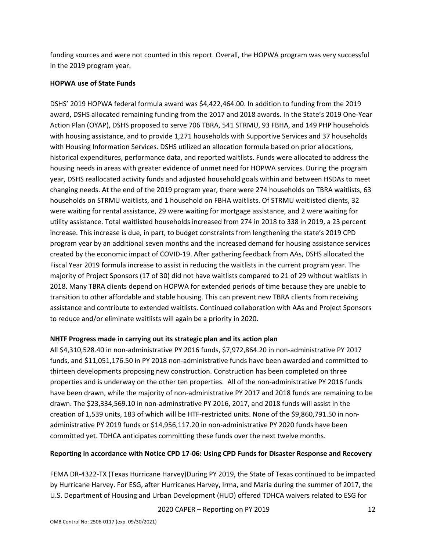funding sources and were not counted in this report. Overall, the HOPWA program was very successful in the 2019 program year.

### **HOPWA use of State Funds**

DSHS' 2019 HOPWA federal formula award was \$4,422,464.00. In addition to funding from the 2019 award, DSHS allocated remaining funding from the 2017 and 2018 awards. In the State's 2019 One-Year Action Plan (OYAP), DSHS proposed to serve 706 TBRA, 541 STRMU, 93 FBHA, and 149 PHP households with housing assistance, and to provide 1,271 households with Supportive Services and 37 households with Housing Information Services. DSHS utilized an allocation formula based on prior allocations, historical expenditures, performance data, and reported waitlists. Funds were allocated to address the housing needs in areas with greater evidence of unmet need for HOPWA services. During the program year, DSHS reallocated activity funds and adjusted household goals within and between HSDAs to meet changing needs. At the end of the 2019 program year, there were 274 households on TBRA waitlists, 63 households on STRMU waitlists, and 1 household on FBHA waitlists. Of STRMU waitlisted clients, 32 were waiting for rental assistance, 29 were waiting for mortgage assistance, and 2 were waiting for utility assistance. Total waitlisted households increased from 274 in 2018 to 338 in 2019, a 23 percent increase. This increase is due, in part, to budget constraints from lengthening the state's 2019 CPD program year by an additional seven months and the increased demand for housing assistance services created by the economic impact of COVID-19. After gathering feedback from AAs, DSHS allocated the Fiscal Year 2019 formula increase to assist in reducing the waitlists in the current program year. The majority of Project Sponsors (17 of 30) did not have waitlists compared to 21 of 29 without waitlists in 2018. Many TBRA clients depend on HOPWA for extended periods of time because they are unable to transition to other affordable and stable housing. This can prevent new TBRA clients from receiving assistance and contribute to extended waitlists. Continued collaboration with AAs and Project Sponsors to reduce and/or eliminate waitlists will again be a priority in 2020.

## **NHTF Progress made in carrying out its strategic plan and its action plan**

All \$4,310,528.40 in non-administrative PY 2016 funds, \$7,972,864.20 in non-administrative PY 2017 funds, and \$11,051,176.50 in PY 2018 non-administrative funds have been awarded and committed to thirteen developments proposing new construction. Construction has been completed on three properties and is underway on the other ten properties. All of the non-administrative PY 2016 funds have been drawn, while the majority of non-administrative PY 2017 and 2018 funds are remaining to be drawn. The \$23,334,569.10 in non-adminstrative PY 2016, 2017, and 2018 funds will assist in the creation of 1,539 units, 183 of which will be HTF-restricted units. None of the \$9,860,791.50 in nonadministrative PY 2019 funds or \$14,956,117.20 in non-administrative PY 2020 funds have been committed yet. TDHCA anticipates committing these funds over the next twelve months.

## **Reporting in accordance with Notice CPD 17-06: Using CPD Funds for Disaster Response and Recovery**

FEMA DR-4322-TX (Texas Hurricane Harvey)During PY 2019, the State of Texas continued to be impacted by Hurricane Harvey. For ESG, after Hurricanes Harvey, Irma, and Maria during the summer of 2017, the U.S. Department of Housing and Urban Development (HUD) offered TDHCA waivers related to ESG for

2020 CAPER – Reporting on PY 2019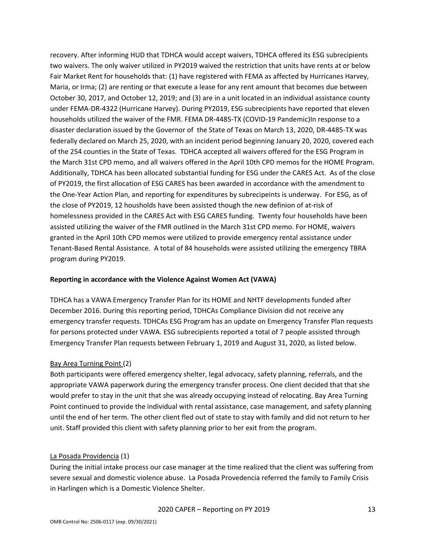recovery. After informing HUD that TDHCA would accept waivers, TDHCA offered its ESG subrecipients two waivers. The only waiver utilized in PY2019 waived the restriction that units have rents at or below Fair Market Rent for households that: (1) have registered with FEMA as affected by Hurricanes Harvey, Maria, or Irma; (2) are renting or that execute a lease for any rent amount that becomes due between October 30, 2017, and October 12, 2019; and (3) are in a unit located in an individual assistance county under FEMA-DR-4322 (Hurricane Harvey). During PY2019, ESG subrecipients have reported that eleven households utilized the waiver of the FMR. FEMA DR-4485-TX (COVID-19 Pandemic)In response to a disaster declaration issued by the Governor of the State of Texas on March 13, 2020, DR-4485-TX was federally declared on March 25, 2020, with an incident period beginning January 20, 2020, covered each of the 254 counties in the State of Texas. TDHCA accepted all waivers offered for the ESG Program in the March 31st CPD memo, and all waivers offered in the April 10th CPD memos for the HOME Program. Additionally, TDHCA has been allocated substantial funding for ESG under the CARES Act. As of the close of PY2019, the first allocation of ESG CARES has been awarded in accordance with the amendment to the One-Year Action Plan, and reporting for expenditures by subrecipeints is underway. For ESG, as of the close of PY2019, 12 housholds have been assisted though the new definion of at-risk of homelessness provided in the CARES Act with ESG CARES funding. Twenty four households have been assisted utilizing the waiver of the FMR outlined in the March 31st CPD memo. For HOME, waivers granted in the April 10th CPD memos were utilized to provide emergency rental assistance under Tenant-Based Rental Assistance. A total of 84 households were assisted utilizing the emergency TBRA program during PY2019.

#### **Reporting in accordance with the Violence Against Women Act (VAWA)**

TDHCA has a VAWA Emergency Transfer Plan for its HOME and NHTF developments funded after December 2016. During this reporting period, TDHCAs Compliance Division did not receive any emergency transfer requests. TDHCAs ESG Program has an update on Emergency Transfer Plan requests for persons protected under VAWA. ESG subrecipients reported a total of 7 people assisted through Emergency Transfer Plan requests between February 1, 2019 and August 31, 2020, as listed below.

#### Bay Area Turning Point (2)

Both participants were offered emergency shelter, legal advocacy, safety planning, referrals, and the appropriate VAWA paperwork during the emergency transfer process. One client decided that that she would prefer to stay in the unit that she was already occupying instead of relocating. Bay Area Turning Point continued to provide the individual with rental assistance, case management, and safety planning until the end of her term. The other client fled out of state to stay with family and did not return to her unit. Staff provided this client with safety planning prior to her exit from the program.

#### La Posada Providencia (1)

During the initial intake process our case manager at the time realized that the client was suffering from severe sexual and domestic violence abuse. La Posada Provedencia referred the family to Family Crisis in Harlingen which is a Domestic Violence Shelter.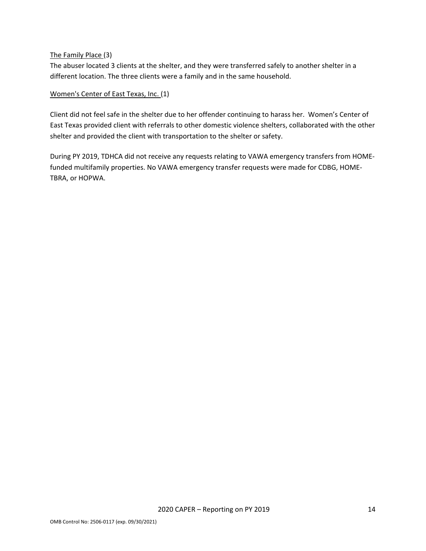### The Family Place (3)

The abuser located 3 clients at the shelter, and they were transferred safely to another shelter in a different location. The three clients were a family and in the same household.

### Women's Center of East Texas, Inc. (1)

Client did not feel safe in the shelter due to her offender continuing to harass her. Women's Center of East Texas provided client with referrals to other domestic violence shelters, collaborated with the other shelter and provided the client with transportation to the shelter or safety.

During PY 2019, TDHCA did not receive any requests relating to VAWA emergency transfers from HOMEfunded multifamily properties. No VAWA emergency transfer requests were made for CDBG, HOME-TBRA, or HOPWA.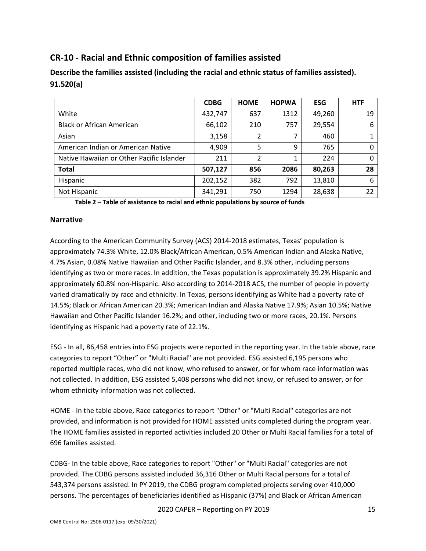# <span id="page-15-0"></span>**CR-10 - Racial and Ethnic composition of families assisted**

|                                           | <b>CDBG</b> | <b>HOME</b> | <b>HOPWA</b> | <b>ESG</b> | <b>HTF</b> |
|-------------------------------------------|-------------|-------------|--------------|------------|------------|
| White                                     | 432,747     | 637         | 1312         | 49,260     | 19         |
| <b>Black or African American</b>          | 66,102      | 210         | 757          | 29,554     | 6          |
| Asian                                     | 3,158       | 2           | 7            | 460        |            |
| American Indian or American Native        | 4,909       | 5           | 9            | 765        | 0          |
| Native Hawaiian or Other Pacific Islander | 211         | 2           | 1            | 224        | $\Omega$   |
| <b>Total</b>                              | 507,127     | 856         | 2086         | 80,263     | 28         |
| Hispanic                                  | 202,152     | 382         | 792          | 13,810     | 6          |
| Not Hispanic                              | 341,291     | 750         | 1294         | 28,638     | 22         |

**Describe the families assisted (including the racial and ethnic status of families assisted). 91.520(a)** 

**Table 2 – Table of assistance to racial and ethnic populations by source of funds**

### **Narrative**

According to the American Community Survey (ACS) 2014-2018 estimates, Texas' population is approximately 74.3% White, 12.0% Black/African American, 0.5% American Indian and Alaska Native, 4.7% Asian, 0.08% Native Hawaiian and Other Pacific Islander, and 8.3% other, including persons identifying as two or more races. In addition, the Texas population is approximately 39.2% Hispanic and approximately 60.8% non-Hispanic. Also according to 2014-2018 ACS, the number of people in poverty varied dramatically by race and ethnicity. In Texas, persons identifying as White had a poverty rate of 14.5%; Black or African American 20.3%; American Indian and Alaska Native 17.9%; Asian 10.5%; Native Hawaiian and Other Pacific Islander 16.2%; and other, including two or more races, 20.1%. Persons identifying as Hispanic had a poverty rate of 22.1%.

ESG - In all, 86,458 entries into ESG projects were reported in the reporting year. In the table above, race categories to report "Other" or "Multi Racial" are not provided. ESG assisted 6,195 persons who reported multiple races, who did not know, who refused to answer, or for whom race information was not collected. In addition, ESG assisted 5,408 persons who did not know, or refused to answer, or for whom ethnicity information was not collected.

HOME - In the table above, Race categories to report "Other" or "Multi Racial" categories are not provided, and information is not provided for HOME assisted units completed during the program year. The HOME families assisted in reported activities included 20 Other or Multi Racial families for a total of 696 families assisted.

CDBG- In the table above, Race categories to report "Other" or "Multi Racial" categories are not provided. The CDBG persons assisted included 36,316 Other or Multi Racial persons for a total of 543,374 persons assisted. In PY 2019, the CDBG program completed projects serving over 410,000 persons. The percentages of beneficiaries identified as Hispanic (37%) and Black or African American

2020 CAPER – Reporting on PY 2019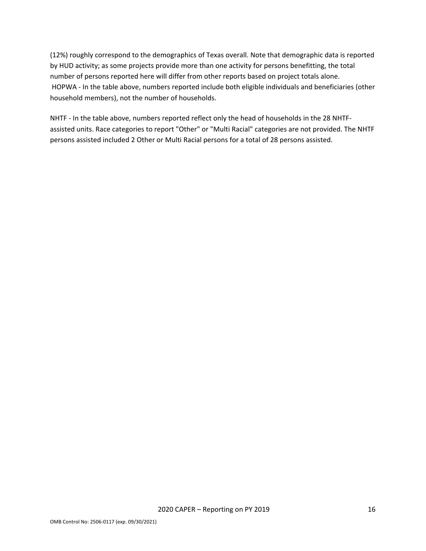(12%) roughly correspond to the demographics of Texas overall. Note that demographic data is reported by HUD activity; as some projects provide more than one activity for persons benefitting, the total number of persons reported here will differ from other reports based on project totals alone. HOPWA - In the table above, numbers reported include both eligible individuals and beneficiaries (other household members), not the number of households.

NHTF - In the table above, numbers reported reflect only the head of households in the 28 NHTFassisted units. Race categories to report "Other" or "Multi Racial" categories are not provided. The NHTF persons assisted included 2 Other or Multi Racial persons for a total of 28 persons assisted.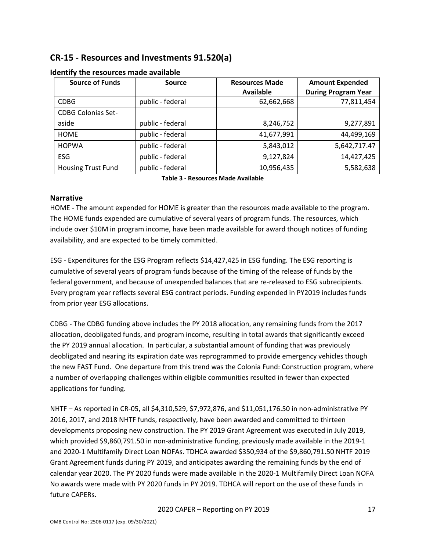# <span id="page-17-0"></span>**CR-15 - Resources and Investments 91.520(a)**

| <b>Source of Funds</b>    | <b>Source</b>    | <b>Resources Made</b><br><b>Available</b> | <b>Amount Expended</b><br><b>During Program Year</b> |
|---------------------------|------------------|-------------------------------------------|------------------------------------------------------|
| <b>CDBG</b>               | public - federal | 62,662,668                                | 77,811,454                                           |
| <b>CDBG Colonias Set-</b> |                  |                                           |                                                      |
| aside                     | public - federal | 8,246,752                                 | 9,277,891                                            |
| <b>HOME</b>               | public - federal | 41,677,991                                | 44,499,169                                           |
| <b>HOPWA</b>              | public - federal | 5,843,012                                 | 5,642,717.47                                         |
| <b>ESG</b>                | public - federal | 9,127,824                                 | 14,427,425                                           |
| <b>Housing Trust Fund</b> | public - federal | 10,956,435                                | 5,582,638                                            |

### **Identify the resources made available**

**Table 3 - Resources Made Available**

### **Narrative**

HOME - The amount expended for HOME is greater than the resources made available to the program. The HOME funds expended are cumulative of several years of program funds. The resources, which include over \$10M in program income, have been made available for award though notices of funding availability, and are expected to be timely committed.

ESG - Expenditures for the ESG Program reflects \$14,427,425 in ESG funding. The ESG reporting is cumulative of several years of program funds because of the timing of the release of funds by the federal government, and because of unexpended balances that are re-released to ESG subrecipients. Every program year reflects several ESG contract periods. Funding expended in PY2019 includes funds from prior year ESG allocations.

CDBG - The CDBG funding above includes the PY 2018 allocation, any remaining funds from the 2017 allocation, deobligated funds, and program income, resulting in total awards that significantly exceed the PY 2019 annual allocation. In particular, a substantial amount of funding that was previously deobligated and nearing its expiration date was reprogrammed to provide emergency vehicles though the new FAST Fund. One departure from this trend was the Colonia Fund: Construction program, where a number of overlapping challenges within eligible communities resulted in fewer than expected applications for funding.

NHTF – As reported in CR-05, all \$4,310,529, \$7,972,876, and \$11,051,176.50 in non-administrative PY 2016, 2017, and 2018 NHTF funds, respectively, have been awarded and committed to thirteen developments proposing new construction. The PY 2019 Grant Agreement was executed in July 2019, which provided \$9,860,791.50 in non-administrative funding, previously made available in the 2019-1 and 2020-1 Multifamily Direct Loan NOFAs. TDHCA awarded \$350,934 of the \$9,860,791.50 NHTF 2019 Grant Agreement funds during PY 2019, and anticipates awarding the remaining funds by the end of calendar year 2020. The PY 2020 funds were made available in the 2020-1 Multifamily Direct Loan NOFA No awards were made with PY 2020 funds in PY 2019. TDHCA will report on the use of these funds in future CAPERs.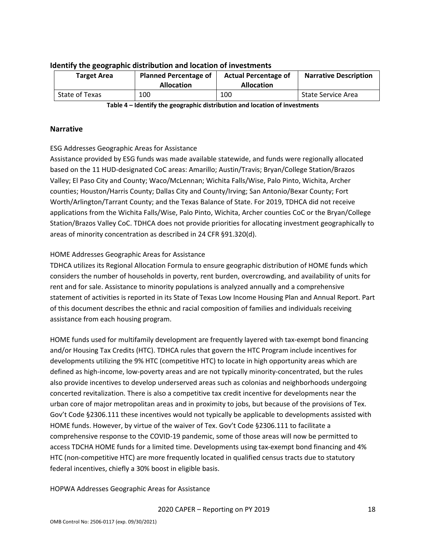| <b>Target Area</b> | <b>Planned Percentage of</b><br><b>Allocation</b> | <b>Actual Percentage of</b><br><b>Allocation</b> | <b>Narrative Description</b> |
|--------------------|---------------------------------------------------|--------------------------------------------------|------------------------------|
| State of Texas     | 100                                               | 100                                              | State Service Area           |

#### **Identify the geographic distribution and location of investments**

**Table 4 – Identify the geographic distribution and location of investments**

#### **Narrative**

### ESG Addresses Geographic Areas for Assistance

Assistance provided by ESG funds was made available statewide, and funds were regionally allocated based on the 11 HUD-designated CoC areas: Amarillo; Austin/Travis; Bryan/College Station/Brazos Valley; El Paso City and County; Waco/McLennan; Wichita Falls/Wise, Palo Pinto, Wichita, Archer counties; Houston/Harris County; Dallas City and County/Irving; San Antonio/Bexar County; Fort Worth/Arlington/Tarrant County; and the Texas Balance of State. For 2019, TDHCA did not receive applications from the Wichita Falls/Wise, Palo Pinto, Wichita, Archer counties CoC or the Bryan/College Station/Brazos Valley CoC. TDHCA does not provide priorities for allocating investment geographically to areas of minority concentration as described in 24 CFR §91.320(d).

## HOME Addresses Geographic Areas for Assistance

TDHCA utilizes its Regional Allocation Formula to ensure geographic distribution of HOME funds which considers the number of households in poverty, rent burden, overcrowding, and availability of units for rent and for sale. Assistance to minority populations is analyzed annually and a comprehensive statement of activities is reported in its State of Texas Low Income Housing Plan and Annual Report. Part of this document describes the ethnic and racial composition of families and individuals receiving assistance from each housing program.

HOME funds used for multifamily development are frequently layered with tax-exempt bond financing and/or Housing Tax Credits (HTC). TDHCA rules that govern the HTC Program include incentives for developments utilizing the 9% HTC (competitive HTC) to locate in high opportunity areas which are defined as high-income, low-poverty areas and are not typically minority-concentrated, but the rules also provide incentives to develop underserved areas such as colonias and neighborhoods undergoing concerted revitalization. There is also a competitive tax credit incentive for developments near the urban core of major metropolitan areas and in proximity to jobs, but because of the provisions of Tex. Gov't Code §2306.111 these incentives would not typically be applicable to developments assisted with HOME funds. However, by virtue of the waiver of Tex. Gov't Code §2306.111 to facilitate a comprehensive response to the COVID-19 pandemic, some of those areas will now be permitted to access TDCHA HOME funds for a limited time. Developments using tax-exempt bond financing and 4% HTC (non-competitive HTC) are more frequently located in qualified census tracts due to statutory federal incentives, chiefly a 30% boost in eligible basis.

HOPWA Addresses Geographic Areas for Assistance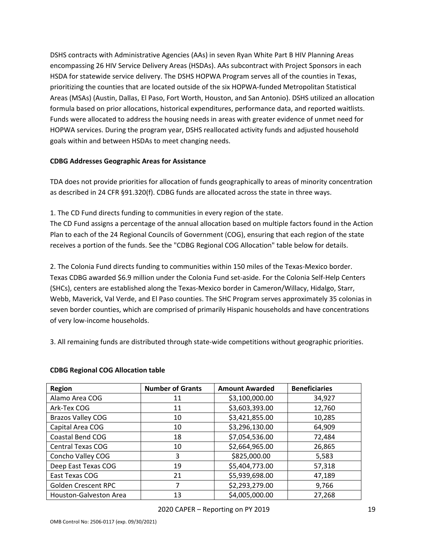DSHS contracts with Administrative Agencies (AAs) in seven Ryan White Part B HIV Planning Areas encompassing 26 HIV Service Delivery Areas (HSDAs). AAs subcontract with Project Sponsors in each HSDA for statewide service delivery. The DSHS HOPWA Program serves all of the counties in Texas, prioritizing the counties that are located outside of the six HOPWA-funded Metropolitan Statistical Areas (MSAs) (Austin, Dallas, El Paso, Fort Worth, Houston, and San Antonio). DSHS utilized an allocation formula based on prior allocations, historical expenditures, performance data, and reported waitlists. Funds were allocated to address the housing needs in areas with greater evidence of unmet need for HOPWA services. During the program year, DSHS reallocated activity funds and adjusted household goals within and between HSDAs to meet changing needs.

### **CDBG Addresses Geographic Areas for Assistance**

TDA does not provide priorities for allocation of funds geographically to areas of minority concentration as described in 24 CFR §91.320(f). CDBG funds are allocated across the state in three ways.

1. The CD Fund directs funding to communities in every region of the state.

The CD Fund assigns a percentage of the annual allocation based on multiple factors found in the Action Plan to each of the 24 Regional Councils of Government (COG), ensuring that each region of the state receives a portion of the funds. See the "CDBG Regional COG Allocation" table below for details.

2. The Colonia Fund directs funding to communities within 150 miles of the Texas-Mexico border. Texas CDBG awarded \$6.9 million under the Colonia Fund set-aside. For the Colonia Self-Help Centers (SHCs), centers are established along the Texas-Mexico border in Cameron/Willacy, Hidalgo, Starr, Webb, Maverick, Val Verde, and El Paso counties. The SHC Program serves approximately 35 colonias in seven border counties, which are comprised of primarily Hispanic households and have concentrations of very low-income households.

3. All remaining funds are distributed through state-wide competitions without geographic priorities.

| <b>Region</b>                 | <b>Number of Grants</b> | <b>Amount Awarded</b> | <b>Beneficiaries</b> |
|-------------------------------|-------------------------|-----------------------|----------------------|
| Alamo Area COG                | 11                      | \$3,100,000.00        | 34,927               |
| Ark-Tex COG                   | 11                      | \$3,603,393.00        | 12,760               |
| <b>Brazos Valley COG</b>      | 10                      | \$3,421,855.00        | 10,285               |
| Capital Area COG              | 10                      | \$3,296,130.00        | 64,909               |
| Coastal Bend COG              | 18                      | \$7,054,536.00        | 72,484               |
| <b>Central Texas COG</b>      | 10                      | \$2,664,965.00        | 26,865               |
| Concho Valley COG             | 3                       | \$825,000.00          | 5,583                |
| Deep East Texas COG           | 19                      | \$5,404,773.00        | 57,318               |
| East Texas COG                | 21                      | \$5,939,698.00        | 47,189               |
| <b>Golden Crescent RPC</b>    |                         | \$2,293,279.00        | 9,766                |
| <b>Houston-Galveston Area</b> | 13                      | \$4,005,000.00        | 27,268               |

## **CDBG Regional COG Allocation table**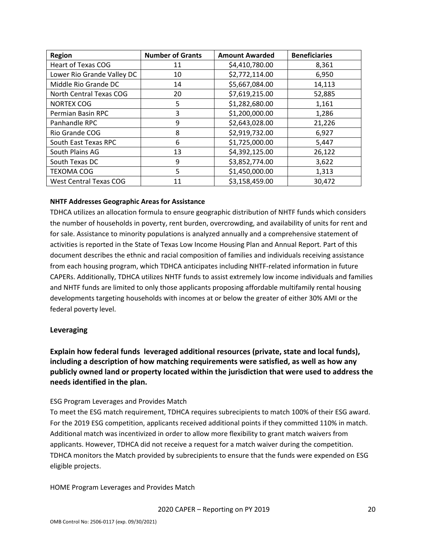| <b>Region</b>                 | <b>Number of Grants</b> | <b>Amount Awarded</b> | <b>Beneficiaries</b> |
|-------------------------------|-------------------------|-----------------------|----------------------|
| <b>Heart of Texas COG</b>     | 11                      | \$4,410,780.00        | 8,361                |
| Lower Rio Grande Valley DC    | 10                      | \$2,772,114.00        | 6,950                |
| Middle Rio Grande DC          | 14                      | \$5,667,084.00        | 14,113               |
| North Central Texas COG       | 20                      | \$7,619,215.00        | 52,885               |
| <b>NORTEX COG</b>             | 5                       | \$1,282,680.00        | 1,161                |
| Permian Basin RPC             | 3                       | \$1,200,000.00        | 1,286                |
| Panhandle RPC                 | 9                       | \$2,643,028.00        | 21,226               |
| Rio Grande COG                | 8                       | \$2,919,732.00        | 6,927                |
| South East Texas RPC          | 6                       | \$1,725,000.00        | 5,447                |
| South Plains AG               | 13                      | \$4,392,125.00        | 26,122               |
| South Texas DC                | 9                       | \$3,852,774.00        | 3,622                |
| <b>TEXOMA COG</b>             | 5                       | \$1,450,000.00        | 1,313                |
| <b>West Central Texas COG</b> | 11                      | \$3,158,459.00        | 30,472               |

#### **NHTF Addresses Geographic Areas for Assistance**

TDHCA utilizes an allocation formula to ensure geographic distribution of NHTF funds which considers the number of households in poverty, rent burden, overcrowding, and availability of units for rent and for sale. Assistance to minority populations is analyzed annually and a comprehensive statement of activities is reported in the State of Texas Low Income Housing Plan and Annual Report. Part of this document describes the ethnic and racial composition of families and individuals receiving assistance from each housing program, which TDHCA anticipates including NHTF-related information in future CAPERs. Additionally, TDHCA utilizes NHTF funds to assist extremely low income individuals and families and NHTF funds are limited to only those applicants proposing affordable multifamily rental housing developments targeting households with incomes at or below the greater of either 30% AMI or the federal poverty level.

#### **Leveraging**

**Explain how federal funds leveraged additional resources (private, state and local funds), including a description of how matching requirements were satisfied, as well as how any publicly owned land or property located within the jurisdiction that were used to address the needs identified in the plan.**

#### ESG Program Leverages and Provides Match

To meet the ESG match requirement, TDHCA requires subrecipients to match 100% of their ESG award. For the 2019 ESG competition, applicants received additional points if they committed 110% in match. Additional match was incentivized in order to allow more flexibility to grant match waivers from applicants. However, TDHCA did not receive a request for a match waiver during the competition. TDHCA monitors the Match provided by subrecipients to ensure that the funds were expended on ESG eligible projects.

HOME Program Leverages and Provides Match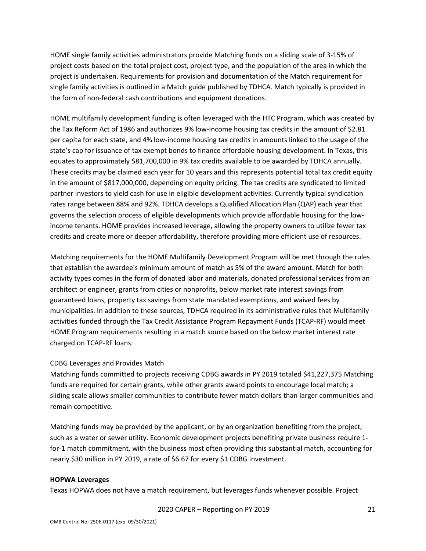HOME single family activities administrators provide Matching funds on a sliding scale of 3-15% of project costs based on the total project cost, project type, and the population of the area in which the project is undertaken. Requirements for provision and documentation of the Match requirement for single family activities is outlined in a Match guide published by TDHCA. Match typically is provided in the form of non-federal cash contributions and equipment donations.

HOME multifamily development funding is often leveraged with the HTC Program, which was created by the Tax Reform Act of 1986 and authorizes 9% low-income housing tax credits in the amount of \$2.81 per capita for each state, and 4% low-income housing tax credits in amounts linked to the usage of the state's cap for issuance of tax exempt bonds to finance affordable housing development. In Texas, this equates to approximately \$81,700,000 in 9% tax credits available to be awarded by TDHCA annually. These credits may be claimed each year for 10 years and this represents potential total tax credit equity in the amount of \$817,000,000, depending on equity pricing. The tax credits are syndicated to limited partner investors to yield cash for use in eligible development activities. Currently typical syndication rates range between 88% and 92%. TDHCA develops a Qualified Allocation Plan (QAP) each year that governs the selection process of eligible developments which provide affordable housing for the lowincome tenants. HOME provides increased leverage, allowing the property owners to utilize fewer tax credits and create more or deeper affordability, therefore providing more efficient use of resources.

Matching requirements for the HOME Multifamily Development Program will be met through the rules that establish the awardee's minimum amount of match as 5% of the award amount. Match for both activity types comes in the form of donated labor and materials, donated professional services from an architect or engineer, grants from cities or nonprofits, below market rate interest savings from guaranteed loans, property tax savings from state mandated exemptions, and waived fees by municipalities. In addition to these sources, TDHCA required in its administrative rules that Multifamily activities funded through the Tax Credit Assistance Program Repayment Funds (TCAP-RF) would meet HOME Program requirements resulting in a match source based on the below market interest rate charged on TCAP-RF loans.

## CDBG Leverages and Provides Match

Matching funds committed to projects receiving CDBG awards in PY 2019 totaled \$41,227,375.Matching funds are required for certain grants, while other grants award points to encourage local match; a sliding scale allows smaller communities to contribute fewer match dollars than larger communities and remain competitive.

Matching funds may be provided by the applicant, or by an organization benefiting from the project, such as a water or sewer utility. Economic development projects benefiting private business require 1 for-1 match commitment, with the business most often providing this substantial match, accounting for nearly \$30 million in PY 2019, a rate of \$6.67 for every \$1 CDBG investment.

#### **HOPWA Leverages**

Texas HOPWA does not have a match requirement, but leverages funds whenever possible. Project

2020 CAPER – Reporting on PY 2019 21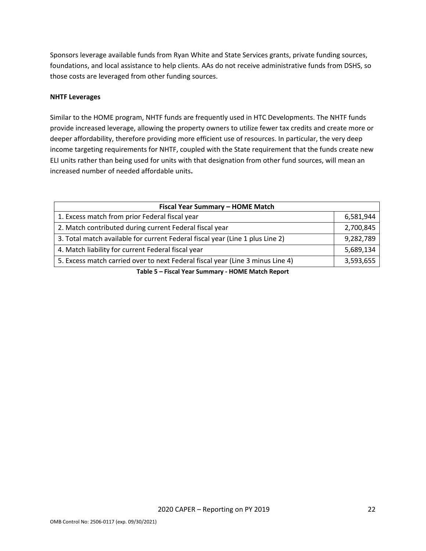Sponsors leverage available funds from Ryan White and State Services grants, private funding sources, foundations, and local assistance to help clients. AAs do not receive administrative funds from DSHS, so those costs are leveraged from other funding sources.

#### **NHTF Leverages**

Similar to the HOME program, NHTF funds are frequently used in HTC Developments. The NHTF funds provide increased leverage, allowing the property owners to utilize fewer tax credits and create more or deeper affordability, therefore providing more efficient use of resources. In particular, the very deep income targeting requirements for NHTF, coupled with the State requirement that the funds create new ELI units rather than being used for units with that designation from other fund sources, will mean an increased number of needed affordable units**.**

| Fiscal Year Summary - HOME Match                                               |           |  |  |  |  |
|--------------------------------------------------------------------------------|-----------|--|--|--|--|
| 1. Excess match from prior Federal fiscal year                                 | 6,581,944 |  |  |  |  |
| 2. Match contributed during current Federal fiscal year                        | 2,700,845 |  |  |  |  |
| 3. Total match available for current Federal fiscal year (Line 1 plus Line 2)  | 9,282,789 |  |  |  |  |
| 4. Match liability for current Federal fiscal year                             | 5,689,134 |  |  |  |  |
| 5. Excess match carried over to next Federal fiscal year (Line 3 minus Line 4) | 3,593,655 |  |  |  |  |
| Table E. Ficcal Vear Cummany, HOME Match Bonart                                |           |  |  |  |  |

**Table 5 – Fiscal Year Summary - HOME Match Report**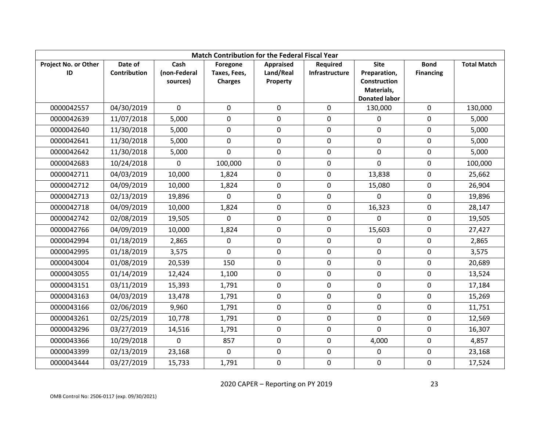| <b>Match Contribution for the Federal Fiscal Year</b> |              |              |                |             |                 |                            |                  |                    |  |
|-------------------------------------------------------|--------------|--------------|----------------|-------------|-----------------|----------------------------|------------------|--------------------|--|
| Project No. or Other                                  | Date of      | Cash         | Foregone       | Appraised   | <b>Required</b> | <b>Site</b>                | <b>Bond</b>      | <b>Total Match</b> |  |
| ID                                                    | Contribution | (non-Federal | Taxes, Fees,   | Land/Real   | Infrastructure  | Preparation,               | <b>Financing</b> |                    |  |
|                                                       |              | sources)     | <b>Charges</b> | Property    |                 | Construction<br>Materials, |                  |                    |  |
|                                                       |              |              |                |             |                 | <b>Donated labor</b>       |                  |                    |  |
| 0000042557                                            | 04/30/2019   | $\Omega$     | $\mathbf 0$    | $\mathbf 0$ | $\Omega$        | 130,000                    | $\mathbf 0$      | 130,000            |  |
| 0000042639                                            | 11/07/2018   | 5,000        | 0              | 0           | 0               | 0                          | 0                | 5,000              |  |
| 0000042640                                            | 11/30/2018   | 5,000        | $\mathbf 0$    | 0           | 0               | $\mathbf 0$                | 0                | 5,000              |  |
| 0000042641                                            | 11/30/2018   | 5,000        | $\mathbf 0$    | $\mathbf 0$ | $\mathbf 0$     | $\mathbf 0$                | $\pmb{0}$        | 5,000              |  |
| 0000042642                                            | 11/30/2018   | 5,000        | $\mathbf 0$    | $\mathbf 0$ | $\mathbf 0$     | 0                          | 0                | 5,000              |  |
| 0000042683                                            | 10/24/2018   | $\Omega$     | 100,000        | $\mathbf 0$ | $\mathbf 0$     | $\Omega$                   | 0                | 100,000            |  |
| 0000042711                                            | 04/03/2019   | 10,000       | 1,824          | $\mathbf 0$ | 0               | 13,838                     | 0                | 25,662             |  |
| 0000042712                                            | 04/09/2019   | 10,000       | 1,824          | $\mathbf 0$ | $\mathbf 0$     | 15,080                     | 0                | 26,904             |  |
| 0000042713                                            | 02/13/2019   | 19,896       | $\mathbf 0$    | $\mathbf 0$ | $\mathbf 0$     | $\mathbf 0$                | $\mathbf 0$      | 19,896             |  |
| 0000042718                                            | 04/09/2019   | 10,000       | 1,824          | $\mathbf 0$ | $\mathbf 0$     | 16,323                     | $\mathbf 0$      | 28,147             |  |
| 0000042742                                            | 02/08/2019   | 19,505       | $\Omega$       | $\mathbf 0$ | 0               | $\Omega$                   | 0                | 19,505             |  |
| 0000042766                                            | 04/09/2019   | 10,000       | 1,824          | $\mathbf 0$ | 0               | 15,603                     | 0                | 27,427             |  |
| 0000042994                                            | 01/18/2019   | 2,865        | $\mathbf 0$    | $\mathbf 0$ | 0               | 0                          | 0                | 2,865              |  |
| 0000042995                                            | 01/18/2019   | 3,575        | $\Omega$       | $\mathbf 0$ | 0               | 0                          | 0                | 3,575              |  |
| 0000043004                                            | 01/08/2019   | 20,539       | 150            | $\mathbf 0$ | $\mathbf 0$     | $\mathbf 0$                | 0                | 20,689             |  |
| 0000043055                                            | 01/14/2019   | 12,424       | 1,100          | $\mathbf 0$ | 0               | 0                          | $\pmb{0}$        | 13,524             |  |
| 0000043151                                            | 03/11/2019   | 15,393       | 1,791          | $\mathbf 0$ | $\mathbf 0$     | $\mathbf 0$                | 0                | 17,184             |  |
| 0000043163                                            | 04/03/2019   | 13,478       | 1,791          | $\mathbf 0$ | 0               | $\mathbf 0$                | 0                | 15,269             |  |
| 0000043166                                            | 02/06/2019   | 9,960        | 1,791          | $\mathbf 0$ | 0               | 0                          | 0                | 11,751             |  |
| 0000043261                                            | 02/25/2019   | 10,778       | 1,791          | $\mathbf 0$ | $\mathbf 0$     | $\mathbf 0$                | 0                | 12,569             |  |
| 0000043296                                            | 03/27/2019   | 14,516       | 1,791          | $\mathbf 0$ | $\mathbf 0$     | $\mathbf 0$                | $\mathbf 0$      | 16,307             |  |
| 0000043366                                            | 10/29/2018   | 0            | 857            | $\mathbf 0$ | $\mathbf 0$     | 4,000                      | 0                | 4,857              |  |
| 0000043399                                            | 02/13/2019   | 23,168       | $\mathbf{0}$   | 0           | $\mathbf 0$     | $\mathbf 0$                | 0                | 23,168             |  |
| 0000043444                                            | 03/27/2019   | 15,733       | 1,791          | $\mathbf 0$ | $\mathbf 0$     | 0                          | $\mathbf 0$      | 17,524             |  |

2020 CAPER – Reporting on PY 2019 23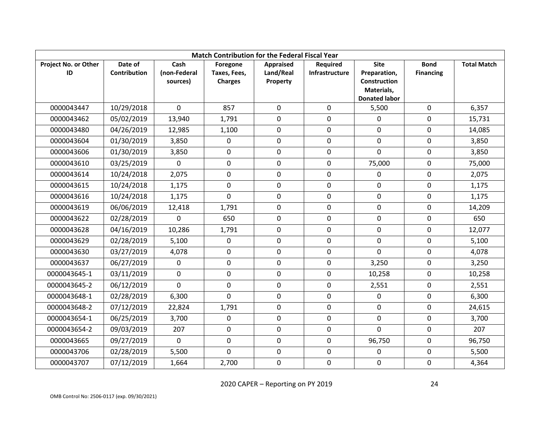| <b>Match Contribution for the Federal Fiscal Year</b> |                         |                                  |                                            |                                    |                                   |                                                    |                                 |                    |  |
|-------------------------------------------------------|-------------------------|----------------------------------|--------------------------------------------|------------------------------------|-----------------------------------|----------------------------------------------------|---------------------------------|--------------------|--|
| Project No. or Other<br>ID                            | Date of<br>Contribution | Cash<br>(non-Federal<br>sources) | Foregone<br>Taxes, Fees,<br><b>Charges</b> | Appraised<br>Land/Real<br>Property | <b>Required</b><br>Infrastructure | <b>Site</b><br>Preparation,<br><b>Construction</b> | <b>Bond</b><br><b>Financing</b> | <b>Total Match</b> |  |
|                                                       |                         |                                  |                                            |                                    |                                   | Materials,<br><b>Donated labor</b>                 |                                 |                    |  |
| 0000043447                                            | 10/29/2018              | $\Omega$                         | 857                                        | $\mathbf 0$                        | 0                                 | 5,500                                              | $\mathbf 0$                     | 6,357              |  |
| 0000043462                                            | 05/02/2019              | 13,940                           | 1,791                                      | 0                                  | 0                                 | 0                                                  | 0                               | 15,731             |  |
| 0000043480                                            | 04/26/2019              | 12,985                           | 1,100                                      | 0                                  | $\mathbf 0$                       | $\mathbf 0$                                        | 0                               | 14,085             |  |
| 0000043604                                            | 01/30/2019              | 3,850                            | $\mathbf 0$                                | $\mathbf 0$                        | $\mathbf 0$                       | $\mathbf 0$                                        | $\mathbf 0$                     | 3,850              |  |
| 0000043606                                            | 01/30/2019              | 3,850                            | $\mathbf 0$                                | $\mathbf 0$                        | $\mathbf 0$                       | 0                                                  | $\mathbf 0$                     | 3,850              |  |
| 0000043610                                            | 03/25/2019              | $\Omega$                         | $\mathbf 0$                                | $\mathbf 0$                        | $\mathbf 0$                       | 75,000                                             | 0                               | 75,000             |  |
| 0000043614                                            | 10/24/2018              | 2,075                            | $\mathbf 0$                                | $\mathbf 0$                        | 0                                 | 0                                                  | 0                               | 2,075              |  |
| 0000043615                                            | 10/24/2018              | 1,175                            | $\mathbf 0$                                | 0                                  | $\mathbf 0$                       | $\mathbf 0$                                        | 0                               | 1,175              |  |
| 0000043616                                            | 10/24/2018              | 1,175                            | $\mathbf 0$                                | $\mathbf 0$                        | $\pmb{0}$                         | 0                                                  | $\pmb{0}$                       | 1,175              |  |
| 0000043619                                            | 06/06/2019              | 12,418                           | 1,791                                      | $\mathbf 0$                        | $\mathbf 0$                       | $\mathbf 0$                                        | 0                               | 14,209             |  |
| 0000043622                                            | 02/28/2019              | $\Omega$                         | 650                                        | $\mathbf 0$                        | $\mathbf 0$                       | 0                                                  | 0                               | 650                |  |
| 0000043628                                            | 04/16/2019              | 10,286                           | 1,791                                      | $\mathbf 0$                        | $\mathbf 0$                       | $\mathbf 0$                                        | 0                               | 12,077             |  |
| 0000043629                                            | 02/28/2019              | 5,100                            | $\mathbf 0$                                | $\mathbf 0$                        | $\mathbf 0$                       | $\mathbf 0$                                        | 0                               | 5,100              |  |
| 0000043630                                            | 03/27/2019              | 4,078                            | $\mathbf 0$                                | $\mathbf 0$                        | $\mathbf 0$                       | $\mathbf 0$                                        | 0                               | 4,078              |  |
| 0000043637                                            | 06/27/2019              | 0                                | $\mathbf 0$                                | 0                                  | 0                                 | 3,250                                              | 0                               | 3,250              |  |
| 0000043645-1                                          | 03/11/2019              | 0                                | $\mathbf 0$                                | $\mathbf 0$                        | $\mathbf 0$                       | 10,258                                             | $\mathbf 0$                     | 10,258             |  |
| 0000043645-2                                          | 06/12/2019              | $\Omega$                         | $\mathbf 0$                                | $\mathbf 0$                        | $\mathbf 0$                       | 2,551                                              | 0                               | 2,551              |  |
| 0000043648-1                                          | 02/28/2019              | 6,300                            | $\Omega$                                   | $\mathbf 0$                        | 0                                 | $\mathbf 0$                                        | 0                               | 6,300              |  |
| 0000043648-2                                          | 07/12/2019              | 22,824                           | 1,791                                      | $\mathbf 0$                        | $\mathbf 0$                       | 0                                                  | $\pmb{0}$                       | 24,615             |  |
| 0000043654-1                                          | 06/25/2019              | 3,700                            | $\mathbf 0$                                | $\mathbf 0$                        | $\mathbf 0$                       | $\mathbf 0$                                        | 0                               | 3,700              |  |
| 0000043654-2                                          | 09/03/2019              | 207                              | $\mathbf 0$                                | $\mathbf 0$                        | $\mathbf 0$                       | $\mathbf 0$                                        | $\mathbf 0$                     | 207                |  |
| 0000043665                                            | 09/27/2019              | 0                                | $\mathbf 0$                                | $\mathbf 0$                        | $\mathbf 0$                       | 96,750                                             | $\mathbf 0$                     | 96,750             |  |
| 0000043706                                            | 02/28/2019              | 5,500                            | $\mathbf{0}$                               | $\mathbf 0$                        | $\mathbf 0$                       | $\mathbf 0$                                        | 0                               | 5,500              |  |
| 0000043707                                            | 07/12/2019              | 1,664                            | 2,700                                      | $\mathbf 0$                        | $\mathbf 0$                       | $\mathbf 0$                                        | $\pmb{0}$                       | 4,364              |  |

2020 CAPER – Reporting on PY 2019 24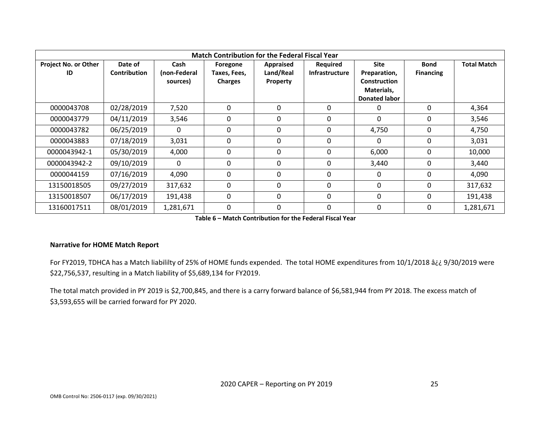| <b>Match Contribution for the Federal Fiscal Year</b> |                                |                                  |                                            |                                           |                                   |                                                                                          |                                 |                    |
|-------------------------------------------------------|--------------------------------|----------------------------------|--------------------------------------------|-------------------------------------------|-----------------------------------|------------------------------------------------------------------------------------------|---------------------------------|--------------------|
| <b>Project No. or Other</b><br>ID                     | Date of<br><b>Contribution</b> | Cash<br>(non-Federal<br>sources) | Foregone<br>Taxes, Fees,<br><b>Charges</b> | <b>Appraised</b><br>Land/Real<br>Property | Required<br><b>Infrastructure</b> | <b>Site</b><br>Preparation,<br><b>Construction</b><br>Materials,<br><b>Donated labor</b> | <b>Bond</b><br><b>Financing</b> | <b>Total Match</b> |
| 0000043708                                            | 02/28/2019                     | 7,520                            | $\mathbf{0}$                               | $\mathbf{0}$                              | 0                                 | 0                                                                                        | $\mathbf{0}$                    | 4,364              |
| 0000043779                                            | 04/11/2019                     | 3,546                            | 0                                          | 0                                         | 0                                 | 0                                                                                        | 0                               | 3,546              |
| 0000043782                                            | 06/25/2019                     | 0                                | $\mathbf{0}$                               | 0                                         | $\Omega$                          | 4,750                                                                                    | 0                               | 4,750              |
| 0000043883                                            | 07/18/2019                     | 3,031                            | $\mathbf{0}$                               | 0                                         | 0                                 | 0                                                                                        | 0                               | 3,031              |
| 0000043942-1                                          | 05/30/2019                     | 4,000                            | $\mathbf{0}$                               | 0                                         | $\Omega$                          | 6,000                                                                                    | 0                               | 10,000             |
| 0000043942-2                                          | 09/10/2019                     | $\Omega$                         | $\mathbf{0}$                               | $\mathbf{0}$                              | $\Omega$                          | 3,440                                                                                    | 0                               | 3,440              |
| 0000044159                                            | 07/16/2019                     | 4,090                            | $\mathbf{0}$                               | 0                                         | 0                                 | $\Omega$                                                                                 | 0                               | 4,090              |
| 13150018505                                           | 09/27/2019                     | 317,632                          | $\Omega$                                   | $\Omega$                                  | $\Omega$                          | $\mathbf{0}$                                                                             | $\mathbf{0}$                    | 317,632            |
| 13150018507                                           | 06/17/2019                     | 191,438                          | $\mathbf{0}$                               | $\Omega$                                  | $\Omega$                          | $\Omega$                                                                                 | 0                               | 191,438            |
| 13160017511                                           | 08/01/2019                     | 1,281,671                        | $\mathbf{0}$                               | 0                                         | 0                                 | 0                                                                                        | 0                               | 1,281,671          |

**Table 6 – Match Contribution for the Federal Fiscal Year**

#### **Narrative for HOME Match Report**

For FY2019, TDHCA has a Match liabililty of 25% of HOME funds expended. The total HOME expenditures from 10/1/2018 â¿¿ 9/30/2019 were \$22,756,537, resulting in a Match liability of \$5,689,134 for FY2019.

The total match provided in PY 2019 is \$2,700,845, and there is a carry forward balance of \$6,581,944 from PY 2018. The excess match of \$3,593,655 will be carried forward for PY 2020.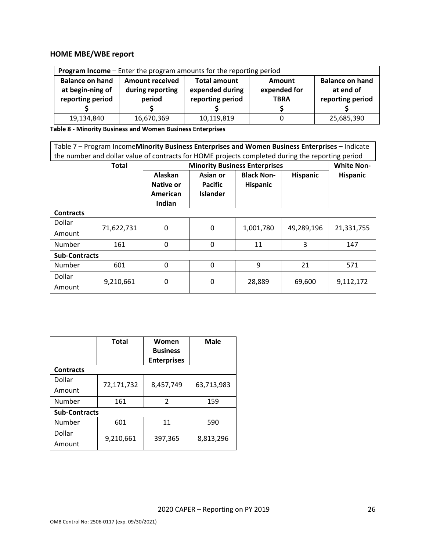# **HOME MBE/WBE report**

| Program Income - Enter the program amounts for the reporting period                                                |                  |                  |              |                  |  |  |  |  |
|--------------------------------------------------------------------------------------------------------------------|------------------|------------------|--------------|------------------|--|--|--|--|
| <b>Balance on hand</b><br><b>Balance on hand</b><br><b>Amount received</b><br><b>Total amount</b><br><b>Amount</b> |                  |                  |              |                  |  |  |  |  |
| at begin-ning of                                                                                                   | during reporting | expended during  | expended for | at end of        |  |  |  |  |
| reporting period                                                                                                   | period           | reporting period | <b>TBRA</b>  | reporting period |  |  |  |  |
|                                                                                                                    |                  |                  |              |                  |  |  |  |  |
| 19,134,840                                                                                                         | 16,670,369       | 10,119,819       |              | 25,685,390       |  |  |  |  |

**Table 8 - Minority Business and Women Business Enterprises**

| Table 7 - Program IncomeMinority Business Enterprises and Women Business Enterprises - Indicate |                                                                                                  |              |                 |                                      |                 |                   |  |  |  |
|-------------------------------------------------------------------------------------------------|--------------------------------------------------------------------------------------------------|--------------|-----------------|--------------------------------------|-----------------|-------------------|--|--|--|
|                                                                                                 | the number and dollar value of contracts for HOME projects completed during the reporting period |              |                 |                                      |                 |                   |  |  |  |
|                                                                                                 | Total                                                                                            |              |                 | <b>Minority Business Enterprises</b> |                 | <b>White Non-</b> |  |  |  |
|                                                                                                 |                                                                                                  | Alaskan      | Asian or        | <b>Black Non-</b>                    | <b>Hispanic</b> | <b>Hispanic</b>   |  |  |  |
|                                                                                                 |                                                                                                  | Native or    | <b>Pacific</b>  | <b>Hispanic</b>                      |                 |                   |  |  |  |
|                                                                                                 |                                                                                                  | American     | <b>Islander</b> |                                      |                 |                   |  |  |  |
|                                                                                                 |                                                                                                  | Indian       |                 |                                      |                 |                   |  |  |  |
| <b>Contracts</b>                                                                                |                                                                                                  |              |                 |                                      |                 |                   |  |  |  |
| Dollar                                                                                          |                                                                                                  |              |                 |                                      |                 |                   |  |  |  |
| Amount                                                                                          | 71,622,731                                                                                       | 0            | 0               | 1,001,780                            | 49,289,196      | 21,331,755        |  |  |  |
| Number                                                                                          | 161                                                                                              | $\mathbf{0}$ | $\mathbf 0$     | 11                                   | 3               | 147               |  |  |  |
| <b>Sub-Contracts</b>                                                                            |                                                                                                  |              |                 |                                      |                 |                   |  |  |  |
| Number                                                                                          | 601                                                                                              | $\Omega$     | $\Omega$        | 9                                    | 21              | 571               |  |  |  |
| Dollar                                                                                          |                                                                                                  |              |                 |                                      |                 |                   |  |  |  |
| Amount                                                                                          | 9,210,661                                                                                        | 0            | 0               | 28,889                               | 69,600          | 9,112,172         |  |  |  |

|                      | <b>Total</b> | Women<br><b>Business</b> | <b>Male</b> |  |
|----------------------|--------------|--------------------------|-------------|--|
|                      |              | <b>Enterprises</b>       |             |  |
| <b>Contracts</b>     |              |                          |             |  |
| Dollar               | 72,171,732   | 8,457,749                | 63,713,983  |  |
| Amount               |              |                          |             |  |
| Number               | 161          | $\mathfrak{p}$           | 159         |  |
| <b>Sub-Contracts</b> |              |                          |             |  |
| Number               | 601          | 11                       | 590         |  |
| Dollar               | 9,210,661    |                          | 8,813,296   |  |
| Amount               |              | 397,365                  |             |  |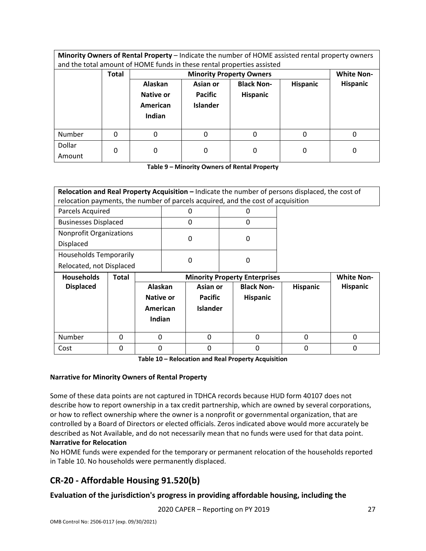**Minority Owners of Rental Property** – Indicate the number of HOME assisted rental property owners and the total amount of HOME funds in these rental properties assisted

|                  | <b>Total</b> |                                                   | <b>Minority Property Owners</b>               |                                      |                 |          |  |  |
|------------------|--------------|---------------------------------------------------|-----------------------------------------------|--------------------------------------|-----------------|----------|--|--|
|                  |              | Alaskan<br><b>Native or</b><br>American<br>Indian | Asian or<br><b>Pacific</b><br><b>Islander</b> | <b>Black Non-</b><br><b>Hispanic</b> | <b>Hispanic</b> | Hispanic |  |  |
| Number           | 0            | 0                                                 | 0                                             | 0                                    | 0               | 0        |  |  |
| Dollar<br>Amount | 0            | 0                                                 | 0                                             | 0                                    | 0               | 0        |  |  |

**Table 9 – Minority Owners of Rental Property**

| Relocation and Real Property Acquisition - Indicate the number of persons displaced, the cost of |                                                                                  |                 |  |                                      |                 |                   |
|--------------------------------------------------------------------------------------------------|----------------------------------------------------------------------------------|-----------------|--|--------------------------------------|-----------------|-------------------|
|                                                                                                  | relocation payments, the number of parcels acquired, and the cost of acquisition |                 |  |                                      |                 |                   |
| Parcels Acquired                                                                                 |                                                                                  |                 |  | O                                    |                 |                   |
| <b>Businesses Displaced</b>                                                                      |                                                                                  | O               |  | 0                                    |                 |                   |
| <b>Nonprofit Organizations</b>                                                                   |                                                                                  | 0               |  | 0                                    |                 |                   |
| Displaced                                                                                        |                                                                                  |                 |  |                                      |                 |                   |
| <b>Households Temporarily</b>                                                                    |                                                                                  | 0               |  | 0                                    |                 |                   |
| Relocated, not Displaced                                                                         |                                                                                  |                 |  |                                      |                 |                   |
| <b>Households</b><br>Total                                                                       |                                                                                  |                 |  | <b>Minority Property Enterprises</b> |                 | <b>White Non-</b> |
| <b>Displaced</b>                                                                                 | <b>Alaskan</b>                                                                   | Asian or        |  | <b>Black Non-</b>                    | <b>Hispanic</b> | <b>Hispanic</b>   |
|                                                                                                  | Native or                                                                        | <b>Pacific</b>  |  | <b>Hispanic</b>                      |                 |                   |
|                                                                                                  | American                                                                         | <b>Islander</b> |  |                                      |                 |                   |
|                                                                                                  | Indian                                                                           |                 |  |                                      |                 |                   |
|                                                                                                  |                                                                                  |                 |  |                                      |                 |                   |
| Number<br>$\Omega$                                                                               | $\Omega$                                                                         | $\Omega$        |  | $\Omega$                             | <sup>0</sup>    | <sup>0</sup>      |
| $\Omega$<br>Cost                                                                                 | $\Omega$                                                                         | ŋ               |  | $\Omega$                             | <sup>0</sup>    | 0                 |

**Table 10 – Relocation and Real Property Acquisition**

#### **Narrative for Minority Owners of Rental Property**

Some of these data points are not captured in TDHCA records because HUD form 40107 does not describe how to report ownership in a tax credit partnership, which are owned by several corporations, or how to reflect ownership where the owner is a nonprofit or governmental organization, that are controlled by a Board of Directors or elected officials. Zeros indicated above would more accurately be described as Not Available, and do not necessarily mean that no funds were used for that data point. **Narrative for Relocation**

No HOME funds were expended for the temporary or permanent relocation of the households reported in Table 10. No households were permanently displaced.

# <span id="page-27-0"></span>**CR-20 - Affordable Housing 91.520(b)**

## **Evaluation of the jurisdiction's progress in providing affordable housing, including the**

2020 CAPER – Reporting on PY 2019 27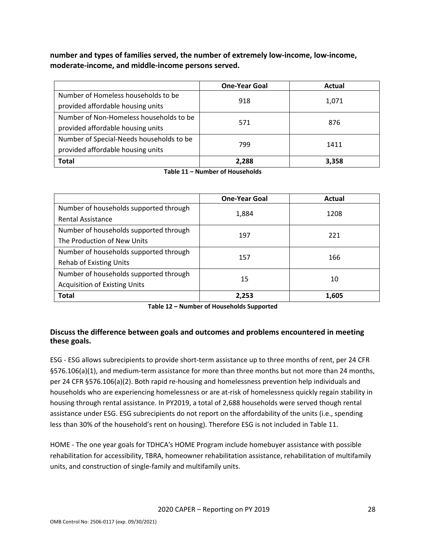**number and types of families served, the number of extremely low-income, low-income, moderate-income, and middle-income persons served.**

|                                          | <b>One-Year Goal</b> | Actual |  |
|------------------------------------------|----------------------|--------|--|
| Number of Homeless households to be      |                      |        |  |
| provided affordable housing units        | 918                  | 1,071  |  |
| Number of Non-Homeless households to be  |                      |        |  |
| provided affordable housing units        | 571                  | 876    |  |
| Number of Special-Needs households to be |                      |        |  |
| provided affordable housing units        | 799                  | 1411   |  |
| <b>Total</b>                             | 2,288                | 3,358  |  |

**Table 11 – Number of Households**

|                                        | <b>One-Year Goal</b> | <b>Actual</b> |
|----------------------------------------|----------------------|---------------|
| Number of households supported through | 1,884                | 1208          |
| Rental Assistance                      |                      |               |
| Number of households supported through | 197                  | 221           |
| The Production of New Units            |                      |               |
| Number of households supported through | 157                  | 166           |
| <b>Rehab of Existing Units</b>         |                      |               |
| Number of households supported through | 15                   | 10            |
| <b>Acquisition of Existing Units</b>   |                      |               |
| <b>Total</b>                           | 2,253                | 1,605         |

**Table 12 – Number of Households Supported**

## **Discuss the difference between goals and outcomes and problems encountered in meeting these goals.**

ESG - ESG allows subrecipients to provide short-term assistance up to three months of rent, per 24 CFR §576.106(a)(1), and medium-term assistance for more than three months but not more than 24 months, per 24 CFR §576.106(a)(2). Both rapid re-housing and homelessness prevention help individuals and households who are experiencing homelessness or are at-risk of homelessness quickly regain stability in housing through rental assistance. In PY2019, a total of 2,688 households were served though rental assistance under ESG. ESG subrecipients do not report on the affordability of the units (i.e., spending less than 30% of the household's rent on housing). Therefore ESG is not included in Table 11.

HOME - The one year goals for TDHCA's HOME Program include homebuyer assistance with possible rehabilitation for accessibility, TBRA, homeowner rehabilitation assistance, rehabilitation of multifamily units, and construction of single-family and multifamily units.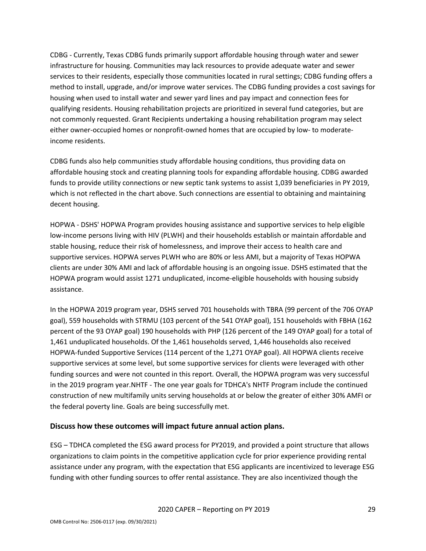CDBG - Currently, Texas CDBG funds primarily support affordable housing through water and sewer infrastructure for housing. Communities may lack resources to provide adequate water and sewer services to their residents, especially those communities located in rural settings; CDBG funding offers a method to install, upgrade, and/or improve water services. The CDBG funding provides a cost savings for housing when used to install water and sewer yard lines and pay impact and connection fees for qualifying residents. Housing rehabilitation projects are prioritized in several fund categories, but are not commonly requested. Grant Recipients undertaking a housing rehabilitation program may select either owner-occupied homes or nonprofit-owned homes that are occupied by low- to moderateincome residents.

CDBG funds also help communities study affordable housing conditions, thus providing data on affordable housing stock and creating planning tools for expanding affordable housing. CDBG awarded funds to provide utility connections or new septic tank systems to assist 1,039 beneficiaries in PY 2019, which is not reflected in the chart above. Such connections are essential to obtaining and maintaining decent housing.

HOPWA - DSHS' HOPWA Program provides housing assistance and supportive services to help eligible low-income persons living with HIV (PLWH) and their households establish or maintain affordable and stable housing, reduce their risk of homelessness, and improve their access to health care and supportive services. HOPWA serves PLWH who are 80% or less AMI, but a majority of Texas HOPWA clients are under 30% AMI and lack of affordable housing is an ongoing issue. DSHS estimated that the HOPWA program would assist 1271 unduplicated, income-eligible households with housing subsidy assistance.

In the HOPWA 2019 program year, DSHS served 701 households with TBRA (99 percent of the 706 OYAP goal), 559 households with STRMU (103 percent of the 541 OYAP goal), 151 households with FBHA (162 percent of the 93 OYAP goal) 190 households with PHP (126 percent of the 149 OYAP goal) for a total of 1,461 unduplicated households. Of the 1,461 households served, 1,446 households also received HOPWA-funded Supportive Services (114 percent of the 1,271 OYAP goal). All HOPWA clients receive supportive services at some level, but some supportive services for clients were leveraged with other funding sources and were not counted in this report. Overall, the HOPWA program was very successful in the 2019 program year.NHTF - The one year goals for TDHCA's NHTF Program include the continued construction of new multifamily units serving households at or below the greater of either 30% AMFI or the federal poverty line. Goals are being successfully met.

## **Discuss how these outcomes will impact future annual action plans.**

ESG – TDHCA completed the ESG award process for PY2019, and provided a point structure that allows organizations to claim points in the competitive application cycle for prior experience providing rental assistance under any program, with the expectation that ESG applicants are incentivized to leverage ESG funding with other funding sources to offer rental assistance. They are also incentivized though the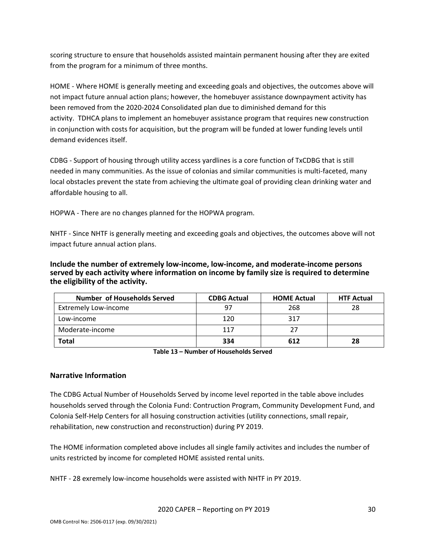scoring structure to ensure that households assisted maintain permanent housing after they are exited from the program for a minimum of three months.

HOME - Where HOME is generally meeting and exceeding goals and objectives, the outcomes above will not impact future annual action plans; however, the homebuyer assistance downpayment activity has been removed from the 2020-2024 Consolidated plan due to diminished demand for this activity. TDHCA plans to implement an homebuyer assistance program that requires new construction in conjunction with costs for acquisition, but the program will be funded at lower funding levels until demand evidences itself.

CDBG - Support of housing through utility access yardlines is a core function of TxCDBG that is still needed in many communities. As the issue of colonias and similar communities is multi-faceted, many local obstacles prevent the state from achieving the ultimate goal of providing clean drinking water and affordable housing to all.

HOPWA - There are no changes planned for the HOPWA program.

NHTF - Since NHTF is generally meeting and exceeding goals and objectives, the outcomes above will not impact future annual action plans.

**Include the number of extremely low-income, low-income, and moderate-income persons served by each activity where information on income by family size is required to determine the eligibility of the activity.**

| Number of Households Served | <b>CDBG Actual</b> | <b>HOME Actual</b> | <b>HTF Actual</b> |
|-----------------------------|--------------------|--------------------|-------------------|
| <b>Extremely Low-income</b> | 97                 | 268                | 28                |
| Low-income                  | 120                | 317                |                   |
| Moderate-income             | 117                |                    |                   |
| Total                       | 334                | 612                | 28                |

**Table 13 – Number of Households Served**

## **Narrative Information**

The CDBG Actual Number of Households Served by income level reported in the table above includes households served through the Colonia Fund: Contruction Program, Community Development Fund, and Colonia Self-Help Centers for all hosuing construction activities (utility connections, small repair, rehabilitation, new construction and reconstruction) during PY 2019.

The HOME information completed above includes all single family activites and includes the number of units restricted by income for completed HOME assisted rental units.

NHTF - 28 exremely low-income households were assisted with NHTF in PY 2019.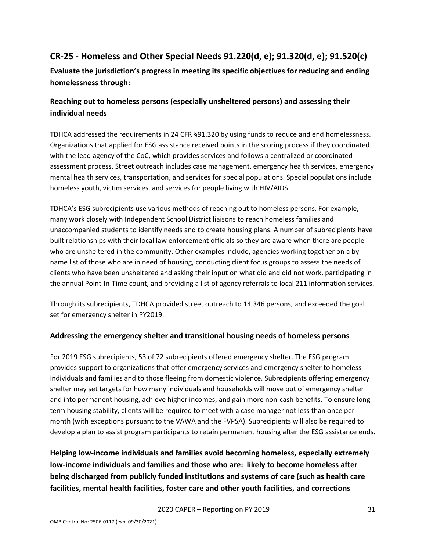# <span id="page-31-0"></span>**CR-25 - Homeless and Other Special Needs 91.220(d, e); 91.320(d, e); 91.520(c)**

**Evaluate the jurisdiction's progress in meeting its specific objectives for reducing and ending homelessness through:**

# **Reaching out to homeless persons (especially unsheltered persons) and assessing their individual needs**

TDHCA addressed the requirements in 24 CFR §91.320 by using funds to reduce and end homelessness. Organizations that applied for ESG assistance received points in the scoring process if they coordinated with the lead agency of the CoC, which provides services and follows a centralized or coordinated assessment process. Street outreach includes case management, emergency health services, emergency mental health services, transportation, and services for special populations. Special populations include homeless youth, victim services, and services for people living with HIV/AIDS.

TDHCA's ESG subrecipients use various methods of reaching out to homeless persons. For example, many work closely with Independent School District liaisons to reach homeless families and unaccompanied students to identify needs and to create housing plans. A number of subrecipients have built relationships with their local law enforcement officials so they are aware when there are people who are unsheltered in the community. Other examples include, agencies working together on a byname list of those who are in need of housing, conducting client focus groups to assess the needs of clients who have been unsheltered and asking their input on what did and did not work, participating in the annual Point-In-Time count, and providing a list of agency referrals to local 211 information services.

Through its subrecipients, TDHCA provided street outreach to 14,346 persons, and exceeded the goal set for emergency shelter in PY2019.

# **Addressing the emergency shelter and transitional housing needs of homeless persons**

For 2019 ESG subrecipients, 53 of 72 subrecipients offered emergency shelter. The ESG program provides support to organizations that offer emergency services and emergency shelter to homeless individuals and families and to those fleeing from domestic violence. Subrecipients offering emergency shelter may set targets for how many individuals and households will move out of emergency shelter and into permanent housing, achieve higher incomes, and gain more non-cash benefits. To ensure longterm housing stability, clients will be required to meet with a case manager not less than once per month (with exceptions pursuant to the VAWA and the FVPSA). Subrecipients will also be required to develop a plan to assist program participants to retain permanent housing after the ESG assistance ends.

**Helping low-income individuals and families avoid becoming homeless, especially extremely low-income individuals and families and those who are: likely to become homeless after being discharged from publicly funded institutions and systems of care (such as health care facilities, mental health facilities, foster care and other youth facilities, and corrections**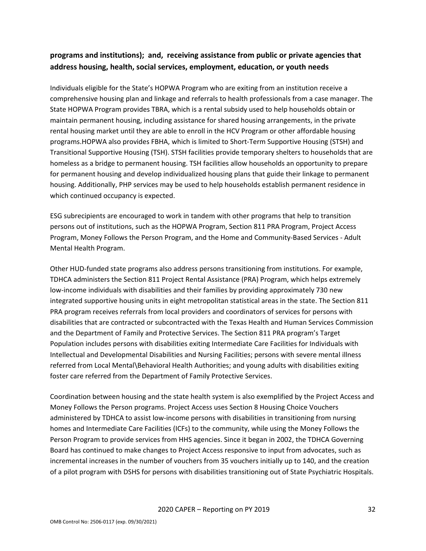# **programs and institutions); and, receiving assistance from public or private agencies that address housing, health, social services, employment, education, or youth needs**

Individuals eligible for the State's HOPWA Program who are exiting from an institution receive a comprehensive housing plan and linkage and referrals to health professionals from a case manager. The State HOPWA Program provides TBRA, which is a rental subsidy used to help households obtain or maintain permanent housing, including assistance for shared housing arrangements, in the private rental housing market until they are able to enroll in the HCV Program or other affordable housing programs.HOPWA also provides FBHA, which is limited to Short-Term Supportive Housing (STSH) and Transitional Supportive Housing (TSH). STSH facilities provide temporary shelters to households that are homeless as a bridge to permanent housing. TSH facilities allow households an opportunity to prepare for permanent housing and develop individualized housing plans that guide their linkage to permanent housing. Additionally, PHP services may be used to help households establish permanent residence in which continued occupancy is expected.

ESG subrecipients are encouraged to work in tandem with other programs that help to transition persons out of institutions, such as the HOPWA Program, Section 811 PRA Program, Project Access Program, Money Follows the Person Program, and the Home and Community-Based Services - Adult Mental Health Program.

Other HUD-funded state programs also address persons transitioning from institutions. For example, TDHCA administers the Section 811 Project Rental Assistance (PRA) Program, which helps extremely low-income individuals with disabilities and their families by providing approximately 730 new integrated supportive housing units in eight metropolitan statistical areas in the state. The Section 811 PRA program receives referrals from local providers and coordinators of services for persons with disabilities that are contracted or subcontracted with the Texas Health and Human Services Commission and the Department of Family and Protective Services. The Section 811 PRA program's Target Population includes persons with disabilities exiting Intermediate Care Facilities for Individuals with Intellectual and Developmental Disabilities and Nursing Facilities; persons with severe mental illness referred from Local Mental\Behavioral Health Authorities; and young adults with disabilities exiting foster care referred from the Department of Family Protective Services.

Coordination between housing and the state health system is also exemplified by the Project Access and Money Follows the Person programs. Project Access uses Section 8 Housing Choice Vouchers administered by TDHCA to assist low-income persons with disabilities in transitioning from nursing homes and Intermediate Care Facilities (ICFs) to the community, while using the Money Follows the Person Program to provide services from HHS agencies. Since it began in 2002, the TDHCA Governing Board has continued to make changes to Project Access responsive to input from advocates, such as incremental increases in the number of vouchers from 35 vouchers initially up to 140, and the creation of a pilot program with DSHS for persons with disabilities transitioning out of State Psychiatric Hospitals.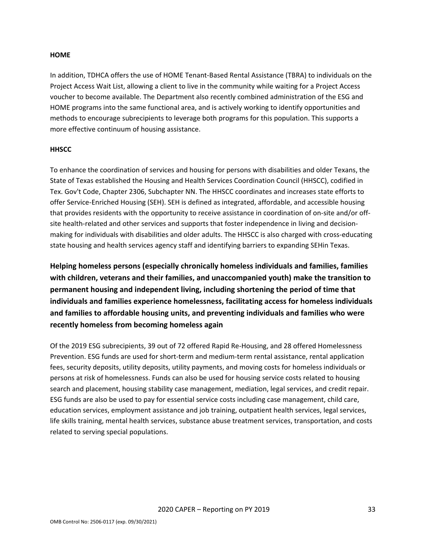#### **HOME**

In addition, TDHCA offers the use of HOME Tenant-Based Rental Assistance (TBRA) to individuals on the Project Access Wait List, allowing a client to live in the community while waiting for a Project Access voucher to become available. The Department also recently combined administration of the ESG and HOME programs into the same functional area, and is actively working to identify opportunities and methods to encourage subrecipients to leverage both programs for this population. This supports a more effective continuum of housing assistance.

#### **HHSCC**

To enhance the coordination of services and housing for persons with disabilities and older Texans, the State of Texas established the Housing and Health Services Coordination Council (HHSCC), codified in Tex. Gov't Code, Chapter 2306, Subchapter NN. The HHSCC coordinates and increases state efforts to offer Service-Enriched Housing (SEH). SEH is defined as integrated, affordable, and accessible housing that provides residents with the opportunity to receive assistance in coordination of on-site and/or offsite health-related and other services and supports that foster independence in living and decisionmaking for individuals with disabilities and older adults. The HHSCC is also charged with cross-educating state housing and health services agency staff and identifying barriers to expanding SEHin Texas.

**Helping homeless persons (especially chronically homeless individuals and families, families with children, veterans and their families, and unaccompanied youth) make the transition to permanent housing and independent living, including shortening the period of time that individuals and families experience homelessness, facilitating access for homeless individuals and families to affordable housing units, and preventing individuals and families who were recently homeless from becoming homeless again**

Of the 2019 ESG subrecipients, 39 out of 72 offered Rapid Re-Housing, and 28 offered Homelessness Prevention. ESG funds are used for short-term and medium-term rental assistance, rental application fees, security deposits, utility deposits, utility payments, and moving costs for homeless individuals or persons at risk of homelessness. Funds can also be used for housing service costs related to housing search and placement, housing stability case management, mediation, legal services, and credit repair. ESG funds are also be used to pay for essential service costs including case management, child care, education services, employment assistance and job training, outpatient health services, legal services, life skills training, mental health services, substance abuse treatment services, transportation, and costs related to serving special populations.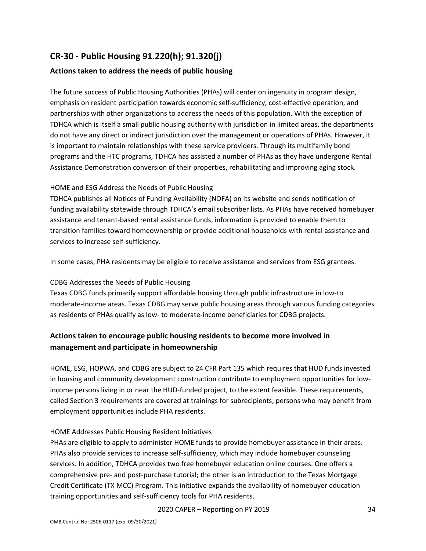# <span id="page-34-0"></span>**CR-30 - Public Housing 91.220(h); 91.320(j)**

# **Actions taken to address the needs of public housing**

The future success of Public Housing Authorities (PHAs) will center on ingenuity in program design, emphasis on resident participation towards economic self-sufficiency, cost-effective operation, and partnerships with other organizations to address the needs of this population. With the exception of TDHCA which is itself a small public housing authority with jurisdiction in limited areas, the departments do not have any direct or indirect jurisdiction over the management or operations of PHAs. However, it is important to maintain relationships with these service providers. Through its multifamily bond programs and the HTC programs, TDHCA has assisted a number of PHAs as they have undergone Rental Assistance Demonstration conversion of their properties, rehabilitating and improving aging stock.

### HOME and ESG Address the Needs of Public Housing

TDHCA publishes all Notices of Funding Availability (NOFA) on its website and sends notification of funding availability statewide through TDHCA's email subscriber lists. As PHAs have received homebuyer assistance and tenant-based rental assistance funds, information is provided to enable them to transition families toward homeownership or provide additional households with rental assistance and services to increase self-sufficiency.

In some cases, PHA residents may be eligible to receive assistance and services from ESG grantees.

## CDBG Addresses the Needs of Public Housing

Texas CDBG funds primarily support affordable housing through public infrastructure in low-to moderate-income areas. Texas CDBG may serve public housing areas through various funding categories as residents of PHAs qualify as low- to moderate-income beneficiaries for CDBG projects.

# **Actions taken to encourage public housing residents to become more involved in management and participate in homeownership**

HOME, ESG, HOPWA, and CDBG are subject to 24 CFR Part 135 which requires that HUD funds invested in housing and community development construction contribute to employment opportunities for lowincome persons living in or near the HUD-funded project, to the extent feasible. These requirements, called Section 3 requirements are covered at trainings for subrecipients; persons who may benefit from employment opportunities include PHA residents.

#### HOME Addresses Public Housing Resident Initiatives

PHAs are eligible to apply to administer HOME funds to provide homebuyer assistance in their areas. PHAs also provide services to increase self-sufficiency, which may include homebuyer counseling services. In addition, TDHCA provides two free homebuyer education online courses. One offers a comprehensive pre- and post-purchase tutorial; the other is an introduction to the Texas Mortgage Credit Certificate (TX MCC) Program. This initiative expands the availability of homebuyer education training opportunities and self-sufficiency tools for PHA residents.

2020 CAPER – Reporting on PY 2019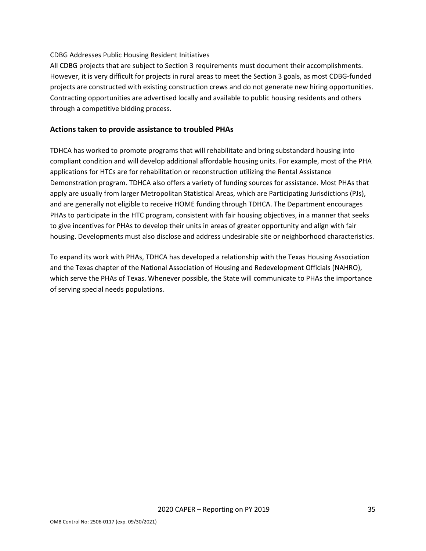#### CDBG Addresses Public Housing Resident Initiatives

All CDBG projects that are subject to Section 3 requirements must document their accomplishments. However, it is very difficult for projects in rural areas to meet the Section 3 goals, as most CDBG-funded projects are constructed with existing construction crews and do not generate new hiring opportunities. Contracting opportunities are advertised locally and available to public housing residents and others through a competitive bidding process.

### **Actions taken to provide assistance to troubled PHAs**

TDHCA has worked to promote programs that will rehabilitate and bring substandard housing into compliant condition and will develop additional affordable housing units. For example, most of the PHA applications for HTCs are for rehabilitation or reconstruction utilizing the Rental Assistance Demonstration program. TDHCA also offers a variety of funding sources for assistance. Most PHAs that apply are usually from larger Metropolitan Statistical Areas, which are Participating Jurisdictions (PJs), and are generally not eligible to receive HOME funding through TDHCA. The Department encourages PHAs to participate in the HTC program, consistent with fair housing objectives, in a manner that seeks to give incentives for PHAs to develop their units in areas of greater opportunity and align with fair housing. Developments must also disclose and address undesirable site or neighborhood characteristics.

To expand its work with PHAs, TDHCA has developed a relationship with the Texas Housing Association and the Texas chapter of the National Association of Housing and Redevelopment Officials (NAHRO), which serve the PHAs of Texas. Whenever possible, the State will communicate to PHAs the importance of serving special needs populations.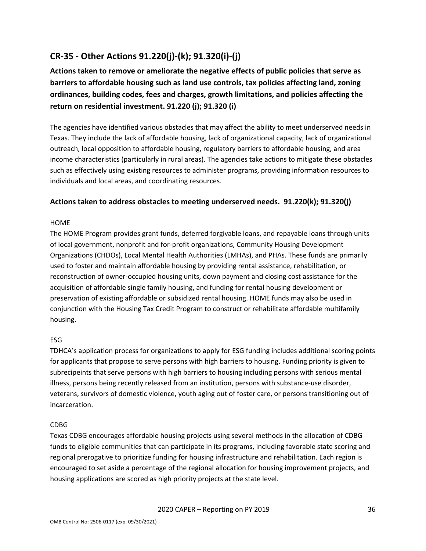# <span id="page-36-0"></span>**CR-35 - Other Actions 91.220(j)-(k); 91.320(i)-(j)**

**Actions taken to remove or ameliorate the negative effects of public policies that serve as barriers to affordable housing such as land use controls, tax policies affecting land, zoning ordinances, building codes, fees and charges, growth limitations, and policies affecting the return on residential investment. 91.220 (j); 91.320 (i)**

The agencies have identified various obstacles that may affect the ability to meet underserved needs in Texas. They include the lack of affordable housing, lack of organizational capacity, lack of organizational outreach, local opposition to affordable housing, regulatory barriers to affordable housing, and area income characteristics (particularly in rural areas). The agencies take actions to mitigate these obstacles such as effectively using existing resources to administer programs, providing information resources to individuals and local areas, and coordinating resources.

## **Actions taken to address obstacles to meeting underserved needs. 91.220(k); 91.320(j)**

## HOME

The HOME Program provides grant funds, deferred forgivable loans, and repayable loans through units of local government, nonprofit and for-profit organizations, Community Housing Development Organizations (CHDOs), Local Mental Health Authorities (LMHAs), and PHAs. These funds are primarily used to foster and maintain affordable housing by providing rental assistance, rehabilitation, or reconstruction of owner-occupied housing units, down payment and closing cost assistance for the acquisition of affordable single family housing, and funding for rental housing development or preservation of existing affordable or subsidized rental housing. HOME funds may also be used in conjunction with the Housing Tax Credit Program to construct or rehabilitate affordable multifamily housing.

## ESG

TDHCA's application process for organizations to apply for ESG funding includes additional scoring points for applicants that propose to serve persons with high barriers to housing. Funding priority is given to subrecipeints that serve persons with high barriers to housing including persons with serious mental illness, persons being recently released from an institution, persons with substance-use disorder, veterans, survivors of domestic violence, youth aging out of foster care, or persons transitioning out of incarceration.

#### CDBG

Texas CDBG encourages affordable housing projects using several methods in the allocation of CDBG funds to eligible communities that can participate in its programs, including favorable state scoring and regional prerogative to prioritize funding for housing infrastructure and rehabilitation. Each region is encouraged to set aside a percentage of the regional allocation for housing improvement projects, and housing applications are scored as high priority projects at the state level.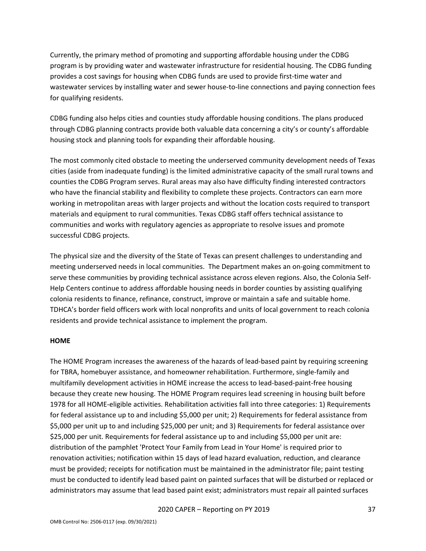Currently, the primary method of promoting and supporting affordable housing under the CDBG program is by providing water and wastewater infrastructure for residential housing. The CDBG funding provides a cost savings for housing when CDBG funds are used to provide first-time water and wastewater services by installing water and sewer house-to-line connections and paying connection fees for qualifying residents.

CDBG funding also helps cities and counties study affordable housing conditions. The plans produced through CDBG planning contracts provide both valuable data concerning a city's or county's affordable housing stock and planning tools for expanding their affordable housing.

The most commonly cited obstacle to meeting the underserved community development needs of Texas cities (aside from inadequate funding) is the limited administrative capacity of the small rural towns and counties the CDBG Program serves. Rural areas may also have difficulty finding interested contractors who have the financial stability and flexibility to complete these projects. Contractors can earn more working in metropolitan areas with larger projects and without the location costs required to transport materials and equipment to rural communities. Texas CDBG staff offers technical assistance to communities and works with regulatory agencies as appropriate to resolve issues and promote successful CDBG projects.

The physical size and the diversity of the State of Texas can present challenges to understanding and meeting underserved needs in local communities. The Department makes an on-going commitment to serve these communities by providing technical assistance across eleven regions. Also, the Colonia Self-Help Centers continue to address affordable housing needs in border counties by assisting qualifying colonia residents to finance, refinance, construct, improve or maintain a safe and suitable home. TDHCA's border field officers work with local nonprofits and units of local government to reach colonia residents and provide technical assistance to implement the program.

#### **HOME**

The HOME Program increases the awareness of the hazards of lead-based paint by requiring screening for TBRA, homebuyer assistance, and homeowner rehabilitation. Furthermore, single-family and multifamily development activities in HOME increase the access to lead-based-paint-free housing because they create new housing. The HOME Program requires lead screening in housing built before 1978 for all HOME-eligible activities. Rehabilitation activities fall into three categories: 1) Requirements for federal assistance up to and including \$5,000 per unit; 2) Requirements for federal assistance from \$5,000 per unit up to and including \$25,000 per unit; and 3) Requirements for federal assistance over \$25,000 per unit. Requirements for federal assistance up to and including \$5,000 per unit are: distribution of the pamphlet 'Protect Your Family from Lead in Your Home' is required prior to renovation activities; notification within 15 days of lead hazard evaluation, reduction, and clearance must be provided; receipts for notification must be maintained in the administrator file; paint testing must be conducted to identify lead based paint on painted surfaces that will be disturbed or replaced or administrators may assume that lead based paint exist; administrators must repair all painted surfaces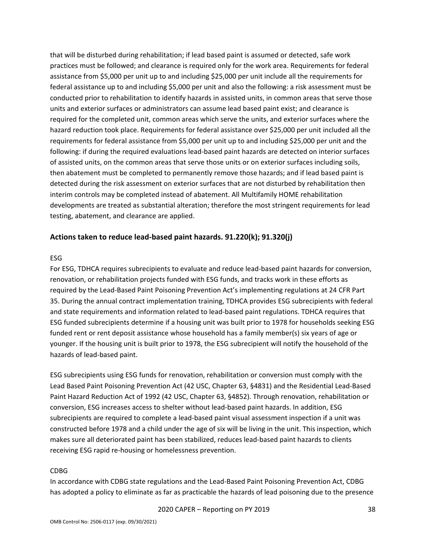that will be disturbed during rehabilitation; if lead based paint is assumed or detected, safe work practices must be followed; and clearance is required only for the work area. Requirements for federal assistance from \$5,000 per unit up to and including \$25,000 per unit include all the requirements for federal assistance up to and including \$5,000 per unit and also the following: a risk assessment must be conducted prior to rehabilitation to identify hazards in assisted units, in common areas that serve those units and exterior surfaces or administrators can assume lead based paint exist; and clearance is required for the completed unit, common areas which serve the units, and exterior surfaces where the hazard reduction took place. Requirements for federal assistance over \$25,000 per unit included all the requirements for federal assistance from \$5,000 per unit up to and including \$25,000 per unit and the following: if during the required evaluations lead-based paint hazards are detected on interior surfaces of assisted units, on the common areas that serve those units or on exterior surfaces including soils, then abatement must be completed to permanently remove those hazards; and if lead based paint is detected during the risk assessment on exterior surfaces that are not disturbed by rehabilitation then interim controls may be completed instead of abatement. All Multifamily HOME rehabilitation developments are treated as substantial alteration; therefore the most stringent requirements for lead testing, abatement, and clearance are applied.

### **Actions taken to reduce lead-based paint hazards. 91.220(k); 91.320(j)**

#### ESG

For ESG, TDHCA requires subrecipients to evaluate and reduce lead-based paint hazards for conversion, renovation, or rehabilitation projects funded with ESG funds, and tracks work in these efforts as required by the Lead-Based Paint Poisoning Prevention Act's implementing regulations at 24 CFR Part 35. During the annual contract implementation training, TDHCA provides ESG subrecipients with federal and state requirements and information related to lead-based paint regulations. TDHCA requires that ESG funded subrecipients determine if a housing unit was built prior to 1978 for households seeking ESG funded rent or rent deposit assistance whose household has a family member(s) six years of age or younger. If the housing unit is built prior to 1978, the ESG subrecipient will notify the household of the hazards of lead-based paint.

ESG subrecipients using ESG funds for renovation, rehabilitation or conversion must comply with the Lead Based Paint Poisoning Prevention Act (42 USC, Chapter 63, §4831) and the Residential Lead-Based Paint Hazard Reduction Act of 1992 (42 USC, Chapter 63, §4852). Through renovation, rehabilitation or conversion, ESG increases access to shelter without lead-based paint hazards. In addition, ESG subrecipients are required to complete a lead-based paint visual assessment inspection if a unit was constructed before 1978 and a child under the age of six will be living in the unit. This inspection, which makes sure all deteriorated paint has been stabilized, reduces lead-based paint hazards to clients receiving ESG rapid re-housing or homelessness prevention.

#### CDBG

In accordance with CDBG state regulations and the Lead-Based Paint Poisoning Prevention Act, CDBG has adopted a policy to eliminate as far as practicable the hazards of lead poisoning due to the presence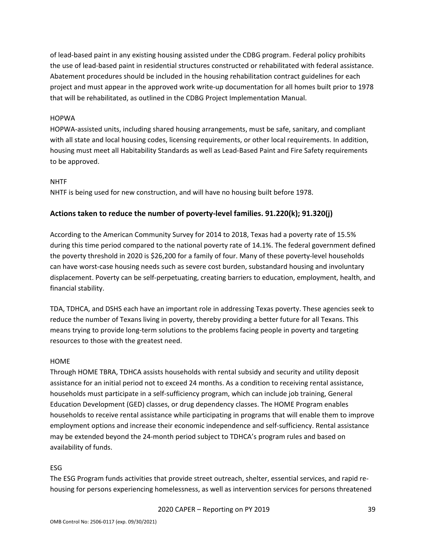of lead-based paint in any existing housing assisted under the CDBG program. Federal policy prohibits the use of lead-based paint in residential structures constructed or rehabilitated with federal assistance. Abatement procedures should be included in the housing rehabilitation contract guidelines for each project and must appear in the approved work write-up documentation for all homes built prior to 1978 that will be rehabilitated, as outlined in the CDBG Project Implementation Manual.

#### HOPWA

HOPWA-assisted units, including shared housing arrangements, must be safe, sanitary, and compliant with all state and local housing codes, licensing requirements, or other local requirements. In addition, housing must meet all Habitability Standards as well as Lead-Based Paint and Fire Safety requirements to be approved.

#### **NHTF**

NHTF is being used for new construction, and will have no housing built before 1978.

### **Actions taken to reduce the number of poverty-level families. 91.220(k); 91.320(j)**

According to the American Community Survey for 2014 to 2018, Texas had a poverty rate of 15.5% during this time period compared to the national poverty rate of 14.1%. The federal government defined the poverty threshold in 2020 is \$26,200 for a family of four. Many of these poverty-level households can have worst-case housing needs such as severe cost burden, substandard housing and involuntary displacement. Poverty can be self-perpetuating, creating barriers to education, employment, health, and financial stability.

TDA, TDHCA, and DSHS each have an important role in addressing Texas poverty. These agencies seek to reduce the number of Texans living in poverty, thereby providing a better future for all Texans. This means trying to provide long-term solutions to the problems facing people in poverty and targeting resources to those with the greatest need.

#### HOME

Through HOME TBRA, TDHCA assists households with rental subsidy and security and utility deposit assistance for an initial period not to exceed 24 months. As a condition to receiving rental assistance, households must participate in a self-sufficiency program, which can include job training, General Education Development (GED) classes, or drug dependency classes. The HOME Program enables households to receive rental assistance while participating in programs that will enable them to improve employment options and increase their economic independence and self-sufficiency. Rental assistance may be extended beyond the 24-month period subject to TDHCA's program rules and based on availability of funds.

#### ESG

The ESG Program funds activities that provide street outreach, shelter, essential services, and rapid rehousing for persons experiencing homelessness, as well as intervention services for persons threatened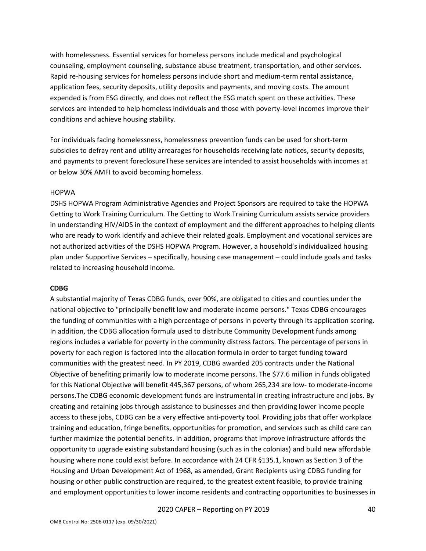with homelessness. Essential services for homeless persons include medical and psychological counseling, employment counseling, substance abuse treatment, transportation, and other services. Rapid re-housing services for homeless persons include short and medium-term rental assistance, application fees, security deposits, utility deposits and payments, and moving costs. The amount expended is from ESG directly, and does not reflect the ESG match spent on these activities. These services are intended to help homeless individuals and those with poverty-level incomes improve their conditions and achieve housing stability.

For individuals facing homelessness, homelessness prevention funds can be used for short-term subsidies to defray rent and utility arrearages for households receiving late notices, security deposits, and payments to prevent foreclosureThese services are intended to assist households with incomes at or below 30% AMFI to avoid becoming homeless.

#### HOPWA

DSHS HOPWA Program Administrative Agencies and Project Sponsors are required to take the HOPWA Getting to Work Training Curriculum. The Getting to Work Training Curriculum assists service providers in understanding HIV/AIDS in the context of employment and the different approaches to helping clients who are ready to work identify and achieve their related goals. Employment and vocational services are not authorized activities of the DSHS HOPWA Program. However, a household's individualized housing plan under Supportive Services – specifically, housing case management – could include goals and tasks related to increasing household income.

#### **CDBG**

A substantial majority of Texas CDBG funds, over 90%, are obligated to cities and counties under the national objective to "principally benefit low and moderate income persons." Texas CDBG encourages the funding of communities with a high percentage of persons in poverty through its application scoring. In addition, the CDBG allocation formula used to distribute Community Development funds among regions includes a variable for poverty in the community distress factors. The percentage of persons in poverty for each region is factored into the allocation formula in order to target funding toward communities with the greatest need. In PY 2019, CDBG awarded 205 contracts under the National Objective of benefiting primarily low to moderate income persons. The \$77.6 million in funds obligated for this National Objective will benefit 445,367 persons, of whom 265,234 are low- to moderate-income persons.The CDBG economic development funds are instrumental in creating infrastructure and jobs. By creating and retaining jobs through assistance to businesses and then providing lower income people access to these jobs, CDBG can be a very effective anti-poverty tool. Providing jobs that offer workplace training and education, fringe benefits, opportunities for promotion, and services such as child care can further maximize the potential benefits. In addition, programs that improve infrastructure affords the opportunity to upgrade existing substandard housing (such as in the colonias) and build new affordable housing where none could exist before. In accordance with 24 CFR §135.1, known as Section 3 of the Housing and Urban Development Act of 1968, as amended, Grant Recipients using CDBG funding for housing or other public construction are required, to the greatest extent feasible, to provide training and employment opportunities to lower income residents and contracting opportunities to businesses in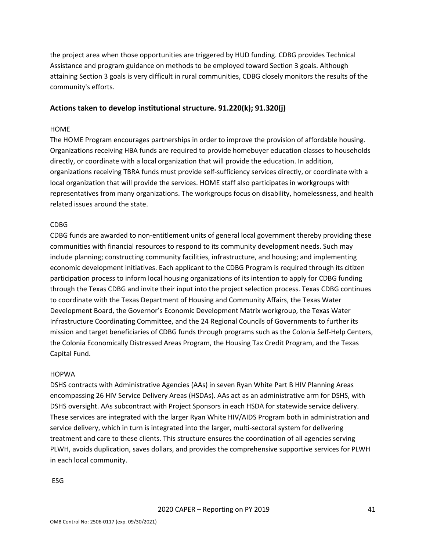the project area when those opportunities are triggered by HUD funding. CDBG provides Technical Assistance and program guidance on methods to be employed toward Section 3 goals. Although attaining Section 3 goals is very difficult in rural communities, CDBG closely monitors the results of the community's efforts.

### **Actions taken to develop institutional structure. 91.220(k); 91.320(j)**

#### HOME

The HOME Program encourages partnerships in order to improve the provision of affordable housing. Organizations receiving HBA funds are required to provide homebuyer education classes to households directly, or coordinate with a local organization that will provide the education. In addition, organizations receiving TBRA funds must provide self-sufficiency services directly, or coordinate with a local organization that will provide the services. HOME staff also participates in workgroups with representatives from many organizations. The workgroups focus on disability, homelessness, and health related issues around the state.

#### CDBG

CDBG funds are awarded to non-entitlement units of general local government thereby providing these communities with financial resources to respond to its community development needs. Such may include planning; constructing community facilities, infrastructure, and housing; and implementing economic development initiatives. Each applicant to the CDBG Program is required through its citizen participation process to inform local housing organizations of its intention to apply for CDBG funding through the Texas CDBG and invite their input into the project selection process. Texas CDBG continues to coordinate with the Texas Department of Housing and Community Affairs, the Texas Water Development Board, the Governor's Economic Development Matrix workgroup, the Texas Water Infrastructure Coordinating Committee, and the 24 Regional Councils of Governments to further its mission and target beneficiaries of CDBG funds through programs such as the Colonia Self-Help Centers, the Colonia Economically Distressed Areas Program, the Housing Tax Credit Program, and the Texas Capital Fund.

#### HOPWA

DSHS contracts with Administrative Agencies (AAs) in seven Ryan White Part B HIV Planning Areas encompassing 26 HIV Service Delivery Areas (HSDAs). AAs act as an administrative arm for DSHS, with DSHS oversight. AAs subcontract with Project Sponsors in each HSDA for statewide service delivery. These services are integrated with the larger Ryan White HIV/AIDS Program both in administration and service delivery, which in turn is integrated into the larger, multi-sectoral system for delivering treatment and care to these clients. This structure ensures the coordination of all agencies serving PLWH, avoids duplication, saves dollars, and provides the comprehensive supportive services for PLWH in each local community.

#### ESG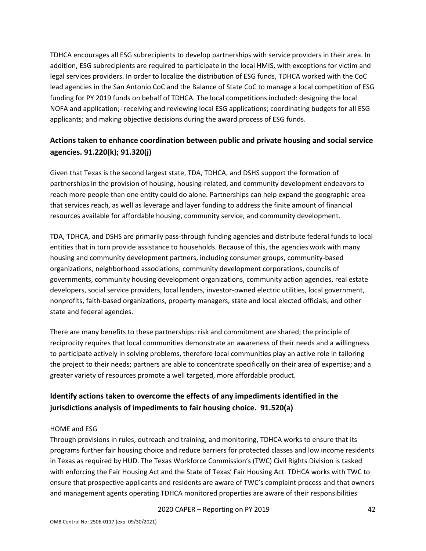TDHCA encourages all ESG subrecipients to develop partnerships with service providers in their area. In addition, ESG subrecipients are required to participate in the local HMIS, with exceptions for victim and legal services providers. In order to localize the distribution of ESG funds, TDHCA worked with the CoC lead agencies in the San Antonio CoC and the Balance of State CoC to manage a local competition of ESG funding for PY 2019 funds on behalf of TDHCA. The local competitions included: designing the local NOFA and application;- receiving and reviewing local ESG applications; coordinating budgets for all ESG applicants; and making objective decisions during the award process of ESG funds.

# **Actions taken to enhance coordination between public and private housing and social service agencies. 91.220(k); 91.320(j)**

Given that Texas is the second largest state, TDA, TDHCA, and DSHS support the formation of partnerships in the provision of housing, housing-related, and community development endeavors to reach more people than one entity could do alone. Partnerships can help expand the geographic area that services reach, as well as leverage and layer funding to address the finite amount of financial resources available for affordable housing, community service, and community development.

TDA, TDHCA, and DSHS are primarily pass-through funding agencies and distribute federal funds to local entities that in turn provide assistance to households. Because of this, the agencies work with many housing and community development partners, including consumer groups, community-based organizations, neighborhood associations, community development corporations, councils of governments, community housing development organizations, community action agencies, real estate developers, social service providers, local lenders, investor-owned electric utilities, local government, nonprofits, faith-based organizations, property managers, state and local elected officials, and other state and federal agencies.

There are many benefits to these partnerships: risk and commitment are shared; the principle of reciprocity requires that local communities demonstrate an awareness of their needs and a willingness to participate actively in solving problems, therefore local communities play an active role in tailoring the project to their needs; partners are able to concentrate specifically on their area of expertise; and a greater variety of resources promote a well targeted, more affordable product.

# **Identify actions taken to overcome the effects of any impediments identified in the jurisdictions analysis of impediments to fair housing choice. 91.520(a)**

#### HOME and ESG

Through provisions in rules, outreach and training, and monitoring, TDHCA works to ensure that its programs further fair housing choice and reduce barriers for protected classes and low income residents in Texas as required by HUD. The Texas Workforce Commission's (TWC) Civil Rights Division is tasked with enforcing the Fair Housing Act and the State of Texas' Fair Housing Act. TDHCA works with TWC to ensure that prospective applicants and residents are aware of TWC's complaint process and that owners and management agents operating TDHCA monitored properties are aware of their responsibilities

2020 CAPER – Reporting on PY 2019 42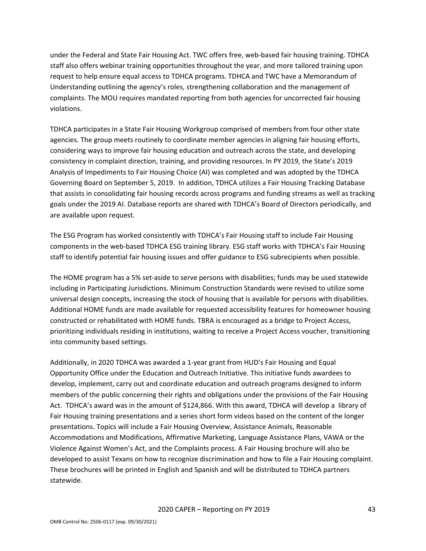under the Federal and State Fair Housing Act. TWC offers free, web-based fair housing training. TDHCA staff also offers webinar training opportunities throughout the year, and more tailored training upon request to help ensure equal access to TDHCA programs. TDHCA and TWC have a Memorandum of Understanding outlining the agency's roles, strengthening collaboration and the management of complaints. The MOU requires mandated reporting from both agencies for uncorrected fair housing violations.

TDHCA participates in a State Fair Housing Workgroup comprised of members from four other state agencies. The group meets routinely to coordinate member agencies in aligning fair housing efforts, considering ways to improve fair housing education and outreach across the state, and developing consistency in complaint direction, training, and providing resources. In PY 2019, the State's 2019 Analysis of Impediments to Fair Housing Choice (AI) was completed and was adopted by the TDHCA Governing Board on September 5, 2019. In addition, TDHCA utilizes a Fair Housing Tracking Database that assists in consolidating fair housing records across programs and funding streams as well as tracking goals under the 2019 AI. Database reports are shared with TDHCA's Board of Directors periodically, and are available upon request.

The ESG Program has worked consistently with TDHCA's Fair Housing staff to include Fair Housing components in the web-based TDHCA ESG training library. ESG staff works with TDHCA's Fair Housing staff to identify potential fair housing issues and offer guidance to ESG subrecipients when possible.

The HOME program has a 5% set-aside to serve persons with disabilities; funds may be used statewide including in Participating Jurisdictions. Minimum Construction Standards were revised to utilize some universal design concepts, increasing the stock of housing that is available for persons with disabilities. Additional HOME funds are made available for requested accessibility features for homeowner housing constructed or rehabilitated with HOME funds. TBRA is encouraged as a bridge to Project Access, prioritizing individuals residing in institutions, waiting to receive a Project Access voucher, transitioning into community based settings.

Additionally, in 2020 TDHCA was awarded a 1-year grant from HUD's Fair Housing and Equal Opportunity Office under the Education and Outreach Initiative. This initiative funds awardees to develop, implement, carry out and coordinate education and outreach programs designed to inform members of the public concerning their rights and obligations under the provisions of the Fair Housing Act. TDHCA's award was in the amount of \$124,866. With this award, TDHCA will develop a library of Fair Housing training presentations and a series short form videos based on the content of the longer presentations. Topics will include a Fair Housing Overview, Assistance Animals, Reasonable Accommodations and Modifications, Affirmative Marketing, Language Assistance Plans, VAWA or the Violence Against Women's Act, and the Complaints process. A Fair Housing brochure will also be developed to assist Texans on how to recognize discrimination and how to file a Fair Housing complaint. These brochures will be printed in English and Spanish and will be distributed to TDHCA partners statewide.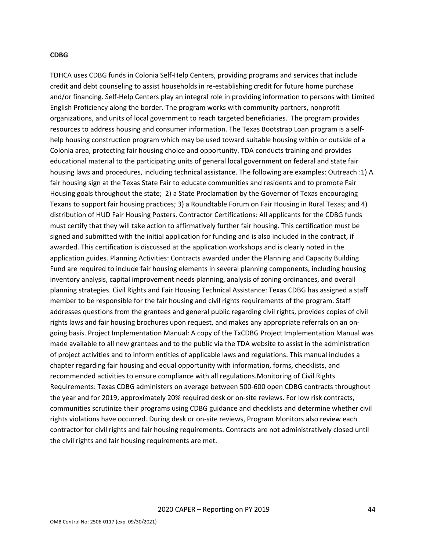#### **CDBG**

TDHCA uses CDBG funds in Colonia Self-Help Centers, providing programs and services that include credit and debt counseling to assist households in re-establishing credit for future home purchase and/or financing. Self-Help Centers play an integral role in providing information to persons with Limited English Proficiency along the border. The program works with community partners, nonprofit organizations, and units of local government to reach targeted beneficiaries. The program provides resources to address housing and consumer information. The Texas Bootstrap Loan program is a selfhelp housing construction program which may be used toward suitable housing within or outside of a Colonia area, protecting fair housing choice and opportunity. TDA conducts training and provides educational material to the participating units of general local government on federal and state fair housing laws and procedures, including technical assistance. The following are examples: Outreach :1) A fair housing sign at the Texas State Fair to educate communities and residents and to promote Fair Housing goals throughout the state; 2) a State Proclamation by the Governor of Texas encouraging Texans to support fair housing practices; 3) a Roundtable Forum on Fair Housing in Rural Texas; and 4) distribution of HUD Fair Housing Posters. Contractor Certifications: All applicants for the CDBG funds must certify that they will take action to affirmatively further fair housing. This certification must be signed and submitted with the initial application for funding and is also included in the contract, if awarded. This certification is discussed at the application workshops and is clearly noted in the application guides. Planning Activities: Contracts awarded under the Planning and Capacity Building Fund are required to include fair housing elements in several planning components, including housing inventory analysis, capital improvement needs planning, analysis of zoning ordinances, and overall planning strategies. Civil Rights and Fair Housing Technical Assistance: Texas CDBG has assigned a staff member to be responsible for the fair housing and civil rights requirements of the program. Staff addresses questions from the grantees and general public regarding civil rights, provides copies of civil rights laws and fair housing brochures upon request, and makes any appropriate referrals on an ongoing basis. Project Implementation Manual: A copy of the TxCDBG Project Implementation Manual was made available to all new grantees and to the public via the TDA website to assist in the administration of project activities and to inform entities of applicable laws and regulations. This manual includes a chapter regarding fair housing and equal opportunity with information, forms, checklists, and recommended activities to ensure compliance with all regulations.Monitoring of Civil Rights Requirements: Texas CDBG administers on average between 500-600 open CDBG contracts throughout the year and for 2019, approximately 20% required desk or on-site reviews. For low risk contracts, communities scrutinize their programs using CDBG guidance and checklists and determine whether civil rights violations have occurred. During desk or on-site reviews, Program Monitors also review each contractor for civil rights and fair housing requirements. Contracts are not administratively closed until the civil rights and fair housing requirements are met.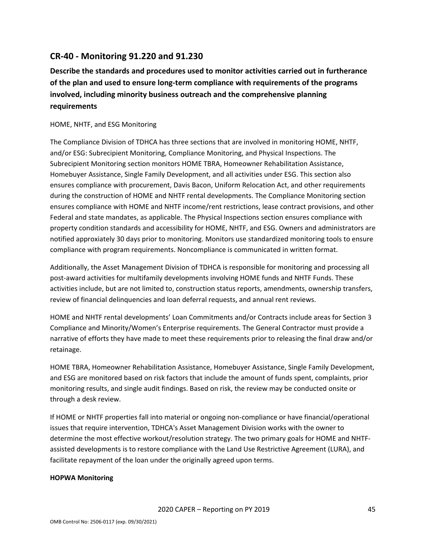# <span id="page-45-0"></span>**CR-40 - Monitoring 91.220 and 91.230**

**Describe the standards and procedures used to monitor activities carried out in furtherance of the plan and used to ensure long-term compliance with requirements of the programs involved, including minority business outreach and the comprehensive planning requirements**

### HOME, NHTF, and ESG Monitoring

The Compliance Division of TDHCA has three sections that are involved in monitoring HOME, NHTF, and/or ESG: Subrecipient Monitoring, Compliance Monitoring, and Physical Inspections. The Subrecipient Monitoring section monitors HOME TBRA, Homeowner Rehabilitation Assistance, Homebuyer Assistance, Single Family Development, and all activities under ESG. This section also ensures compliance with procurement, Davis Bacon, Uniform Relocation Act, and other requirements during the construction of HOME and NHTF rental developments. The Compliance Monitoring section ensures compliance with HOME and NHTF income/rent restrictions, lease contract provisions, and other Federal and state mandates, as applicable. The Physical Inspections section ensures compliance with property condition standards and accessibility for HOME, NHTF, and ESG. Owners and administrators are notified approxiately 30 days prior to monitoring. Monitors use standardized monitoring tools to ensure compliance with program requirements. Noncompliance is communicated in written format.

Additionally, the Asset Management Division of TDHCA is responsible for monitoring and processing all post-award activities for multifamily developments involving HOME funds and NHTF Funds. These activities include, but are not limited to, construction status reports, amendments, ownership transfers, review of financial delinquencies and loan deferral requests, and annual rent reviews.

HOME and NHTF rental developments' Loan Commitments and/or Contracts include areas for Section 3 Compliance and Minority/Women's Enterprise requirements. The General Contractor must provide a narrative of efforts they have made to meet these requirements prior to releasing the final draw and/or retainage.

HOME TBRA, Homeowner Rehabilitation Assistance, Homebuyer Assistance, Single Family Development, and ESG are monitored based on risk factors that include the amount of funds spent, complaints, prior monitoring results, and single audit findings. Based on risk, the review may be conducted onsite or through a desk review.

If HOME or NHTF properties fall into material or ongoing non-compliance or have financial/operational issues that require intervention, TDHCA's Asset Management Division works with the owner to determine the most effective workout/resolution strategy. The two primary goals for HOME and NHTFassisted developments is to restore compliance with the Land Use Restrictive Agreement (LURA), and facilitate repayment of the loan under the originally agreed upon terms.

#### **HOPWA Monitoring**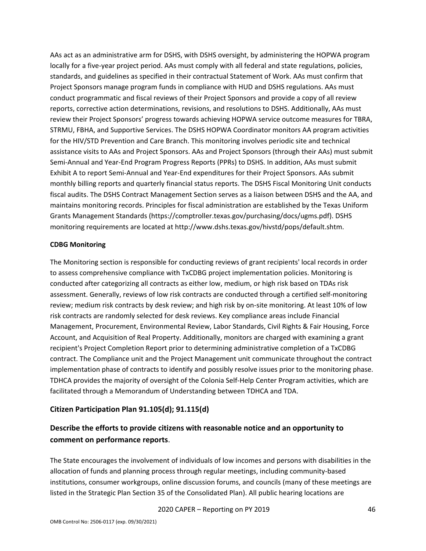AAs act as an administrative arm for DSHS, with DSHS oversight, by administering the HOPWA program locally for a five-year project period. AAs must comply with all federal and state regulations, policies, standards, and guidelines as specified in their contractual Statement of Work. AAs must confirm that Project Sponsors manage program funds in compliance with HUD and DSHS regulations. AAs must conduct programmatic and fiscal reviews of their Project Sponsors and provide a copy of all review reports, corrective action determinations, revisions, and resolutions to DSHS. Additionally, AAs must review their Project Sponsors' progress towards achieving HOPWA service outcome measures for TBRA, STRMU, FBHA, and Supportive Services. The DSHS HOPWA Coordinator monitors AA program activities for the HIV/STD Prevention and Care Branch. This monitoring involves periodic site and technical assistance visits to AAs and Project Sponsors. AAs and Project Sponsors (through their AAs) must submit Semi-Annual and Year-End Program Progress Reports (PPRs) to DSHS. In addition, AAs must submit Exhibit A to report Semi-Annual and Year-End expenditures for their Project Sponsors. AAs submit monthly billing reports and quarterly financial status reports. The DSHS Fiscal Monitoring Unit conducts fiscal audits. The DSHS Contract Management Section serves as a liaison between DSHS and the AA, and maintains monitoring records. Principles for fiscal administration are established by the Texas Uniform Grants Management Standards (https://comptroller.texas.gov/purchasing/docs/ugms.pdf). DSHS monitoring requirements are located at http://www.dshs.texas.gov/hivstd/pops/default.shtm.

#### **CDBG Monitoring**

The Monitoring section is responsible for conducting reviews of grant recipients' local records in order to assess comprehensive compliance with TxCDBG project implementation policies. Monitoring is conducted after categorizing all contracts as either low, medium, or high risk based on TDAs risk assessment. Generally, reviews of low risk contracts are conducted through a certified self-monitoring review; medium risk contracts by desk review; and high risk by on-site monitoring. At least 10% of low risk contracts are randomly selected for desk reviews. Key compliance areas include Financial Management, Procurement, Environmental Review, Labor Standards, Civil Rights & Fair Housing, Force Account, and Acquisition of Real Property. Additionally, monitors are charged with examining a grant recipient's Project Completion Report prior to determining administrative completion of a TxCDBG contract. The Compliance unit and the Project Management unit communicate throughout the contract implementation phase of contracts to identify and possibly resolve issues prior to the monitoring phase. TDHCA provides the majority of oversight of the Colonia Self-Help Center Program activities, which are facilitated through a Memorandum of Understanding between TDHCA and TDA.

# **Citizen Participation Plan 91.105(d); 91.115(d)**

# **Describe the efforts to provide citizens with reasonable notice and an opportunity to comment on performance reports**.

The State encourages the involvement of individuals of low incomes and persons with disabilities in the allocation of funds and planning process through regular meetings, including community-based institutions, consumer workgroups, online discussion forums, and councils (many of these meetings are listed in the Strategic Plan Section 35 of the Consolidated Plan). All public hearing locations are

2020 CAPER – Reporting on PY 2019 46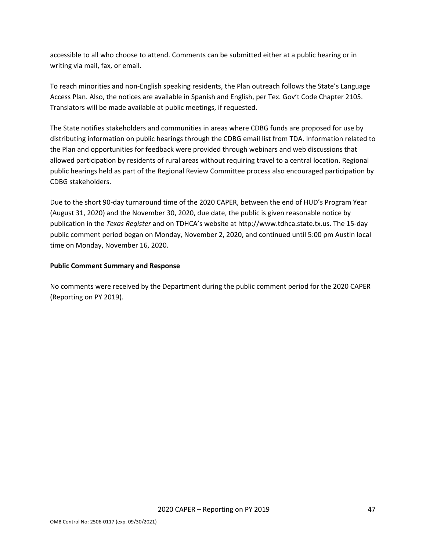accessible to all who choose to attend. Comments can be submitted either at a public hearing or in writing via mail, fax, or email.

To reach minorities and non-English speaking residents, the Plan outreach follows the State's Language Access Plan. Also, the notices are available in Spanish and English, per Tex. Gov't Code Chapter 2105. Translators will be made available at public meetings, if requested.

The State notifies stakeholders and communities in areas where CDBG funds are proposed for use by distributing information on public hearings through the CDBG email list from TDA. Information related to the Plan and opportunities for feedback were provided through webinars and web discussions that allowed participation by residents of rural areas without requiring travel to a central location. Regional public hearings held as part of the Regional Review Committee process also encouraged participation by CDBG stakeholders.

Due to the short 90-day turnaround time of the 2020 CAPER, between the end of HUD's Program Year (August 31, 2020) and the November 30, 2020, due date, the public is given reasonable notice by publication in the *Texas Register* and on TDHCA's website at http://www.tdhca.state.tx.us. The 15-day public comment period began on Monday, November 2, 2020, and continued until 5:00 pm Austin local time on Monday, November 16, 2020.

### **Public Comment Summary and Response**

No comments were received by the Department during the public comment period for the 2020 CAPER (Reporting on PY 2019).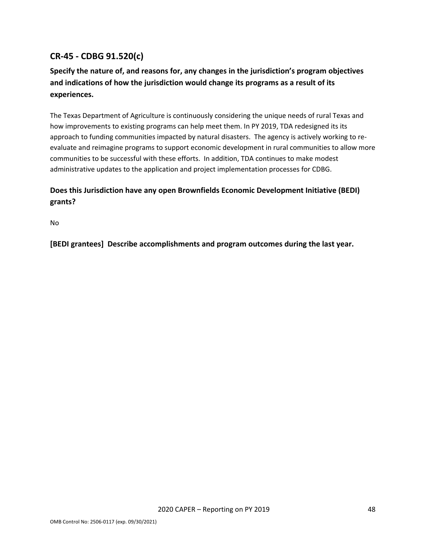# <span id="page-48-0"></span>**CR-45 - CDBG 91.520(c)**

# **Specify the nature of, and reasons for, any changes in the jurisdiction's program objectives and indications of how the jurisdiction would change its programs as a result of its experiences.**

The Texas Department of Agriculture is continuously considering the unique needs of rural Texas and how improvements to existing programs can help meet them. In PY 2019, TDA redesigned its its approach to funding communities impacted by natural disasters. The agency is actively working to reevaluate and reimagine programs to support economic development in rural communities to allow more communities to be successful with these efforts. In addition, TDA continues to make modest administrative updates to the application and project implementation processes for CDBG.

# **Does this Jurisdiction have any open Brownfields Economic Development Initiative (BEDI) grants?**

No

**[BEDI grantees] Describe accomplishments and program outcomes during the last year.**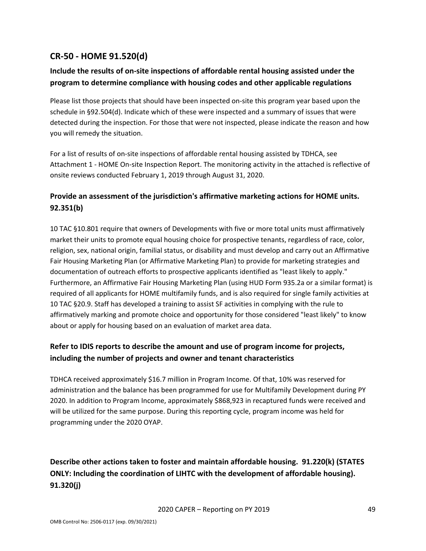# <span id="page-49-0"></span>**CR-50 - HOME 91.520(d)**

# **Include the results of on-site inspections of affordable rental housing assisted under the program to determine compliance with housing codes and other applicable regulations**

Please list those projects that should have been inspected on-site this program year based upon the schedule in §92.504(d). Indicate which of these were inspected and a summary of issues that were detected during the inspection. For those that were not inspected, please indicate the reason and how you will remedy the situation.

For a list of results of on-site inspections of affordable rental housing assisted by TDHCA, see Attachment 1 - HOME On-site Inspection Report. The monitoring activity in the attached is reflective of onsite reviews conducted February 1, 2019 through August 31, 2020.

# **Provide an assessment of the jurisdiction's affirmative marketing actions for HOME units. 92.351(b)**

10 TAC §10.801 require that owners of Developments with five or more total units must affirmatively market their units to promote equal housing choice for prospective tenants, regardless of race, color, religion, sex, national origin, familial status, or disability and must develop and carry out an Affirmative Fair Housing Marketing Plan (or Affirmative Marketing Plan) to provide for marketing strategies and documentation of outreach efforts to prospective applicants identified as "least likely to apply." Furthermore, an Affirmative Fair Housing Marketing Plan (using HUD Form 935.2a or a similar format) is required of all applicants for HOME multifamily funds, and is also required for single family activities at 10 TAC §20.9. Staff has developed a training to assist SF activities in complying with the rule to affirmatively marking and promote choice and opportunity for those considered "least likely" to know about or apply for housing based on an evaluation of market area data.

# **Refer to IDIS reports to describe the amount and use of program income for projects, including the number of projects and owner and tenant characteristics**

TDHCA received approximately \$16.7 million in Program Income. Of that, 10% was reserved for administration and the balance has been programmed for use for Multifamily Development during PY 2020. In addition to Program Income, approximately \$868,923 in recaptured funds were received and will be utilized for the same purpose. During this reporting cycle, program income was held for programming under the 2020 OYAP.

# **Describe other actions taken to foster and maintain affordable housing. 91.220(k) (STATES ONLY: Including the coordination of LIHTC with the development of affordable housing). 91.320(j)**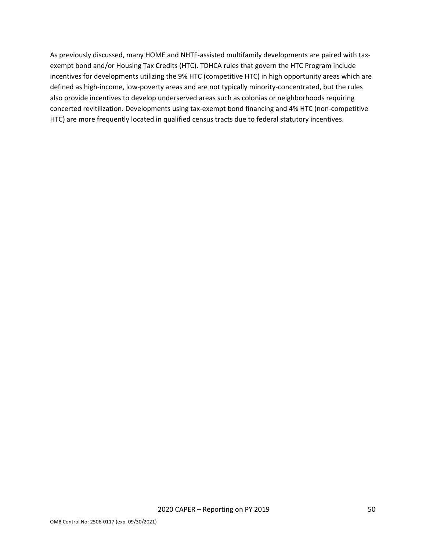As previously discussed, many HOME and NHTF-assisted multifamily developments are paired with taxexempt bond and/or Housing Tax Credits (HTC). TDHCA rules that govern the HTC Program include incentives for developments utilizing the 9% HTC (competitive HTC) in high opportunity areas which are defined as high-income, low-poverty areas and are not typically minority-concentrated, but the rules also provide incentives to develop underserved areas such as colonias or neighborhoods requiring concerted revitilization. Developments using tax-exempt bond financing and 4% HTC (non-competitive HTC) are more frequently located in qualified census tracts due to federal statutory incentives.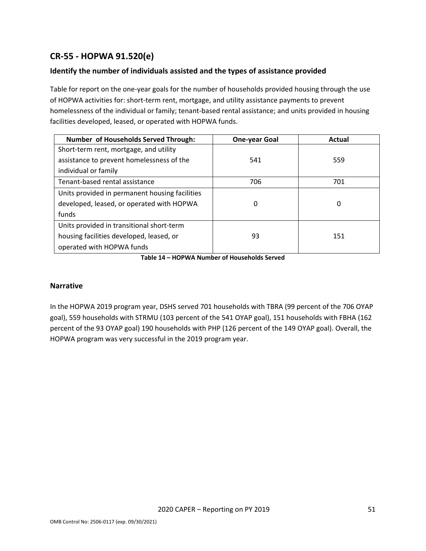# <span id="page-51-0"></span>**CR-55 - HOPWA 91.520(e)**

# **Identify the number of individuals assisted and the types of assistance provided**

Table for report on the one-year goals for the number of households provided housing through the use of HOPWA activities for: short-term rent, mortgage, and utility assistance payments to prevent homelessness of the individual or family; tenant-based rental assistance; and units provided in housing facilities developed, leased, or operated with HOPWA funds.

| <b>Number of Households Served Through:</b>    | <b>One-year Goal</b> | Actual |
|------------------------------------------------|----------------------|--------|
| Short-term rent, mortgage, and utility         |                      |        |
| assistance to prevent homelessness of the      | 541                  | 559    |
| individual or family                           |                      |        |
| Tenant-based rental assistance                 | 706                  | 701    |
| Units provided in permanent housing facilities |                      |        |
| developed, leased, or operated with HOPWA      | 0                    | 0      |
| funds                                          |                      |        |
| Units provided in transitional short-term      |                      |        |
| housing facilities developed, leased, or       | 93                   | 151    |
| operated with HOPWA funds                      |                      |        |

**Table 14 – HOPWA Number of Households Served**

#### **Narrative**

In the HOPWA 2019 program year, DSHS served 701 households with TBRA (99 percent of the 706 OYAP goal), 559 households with STRMU (103 percent of the 541 OYAP goal), 151 households with FBHA (162 percent of the 93 OYAP goal) 190 households with PHP (126 percent of the 149 OYAP goal). Overall, the HOPWA program was very successful in the 2019 program year.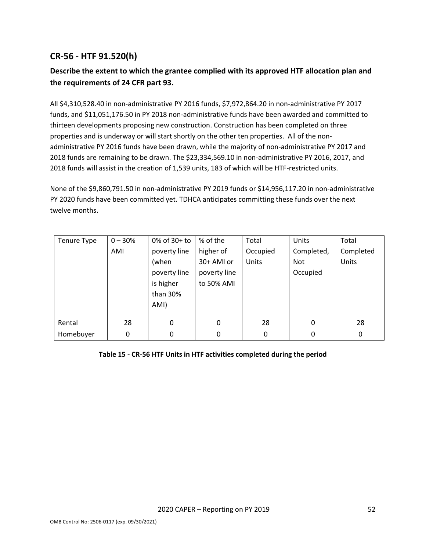# <span id="page-52-0"></span>**CR-56 - HTF 91.520(h)**

# **Describe the extent to which the grantee complied with its approved HTF allocation plan and the requirements of 24 CFR part 93.**

All \$4,310,528.40 in non-administrative PY 2016 funds, \$7,972,864.20 in non-administrative PY 2017 funds, and \$11,051,176.50 in PY 2018 non-administrative funds have been awarded and committed to thirteen developments proposing new construction. Construction has been completed on three properties and is underway or will start shortly on the other ten properties. All of the nonadministrative PY 2016 funds have been drawn, while the majority of non-administrative PY 2017 and 2018 funds are remaining to be drawn. The \$23,334,569.10 in non-administrative PY 2016, 2017, and 2018 funds will assist in the creation of 1,539 units, 183 of which will be HTF-restricted units.

None of the \$9,860,791.50 in non-administrative PY 2019 funds or \$14,956,117.20 in non-administrative PY 2020 funds have been committed yet. TDHCA anticipates committing these funds over the next twelve months.

| Tenure Type | $0 - 30%$ | $0\%$ of 30+ to | % of the     | Total    | Units      | Total     |
|-------------|-----------|-----------------|--------------|----------|------------|-----------|
|             | AMI       | poverty line    | higher of    | Occupied | Completed, | Completed |
|             |           | (when           | 30+ AMI or   | Units    | <b>Not</b> | Units     |
|             |           | poverty line    | poverty line |          | Occupied   |           |
|             |           | is higher       | to 50% AMI   |          |            |           |
|             |           | than 30%        |              |          |            |           |
|             |           | AMI)            |              |          |            |           |
|             |           |                 |              |          |            |           |
| Rental      | 28        | 0               | 0            | 28       | 0          | 28        |
| Homebuyer   | 0         | 0               | 0            | 0        | 0          | 0         |

**Table 15 - CR-56 HTF Units in HTF activities completed during the period**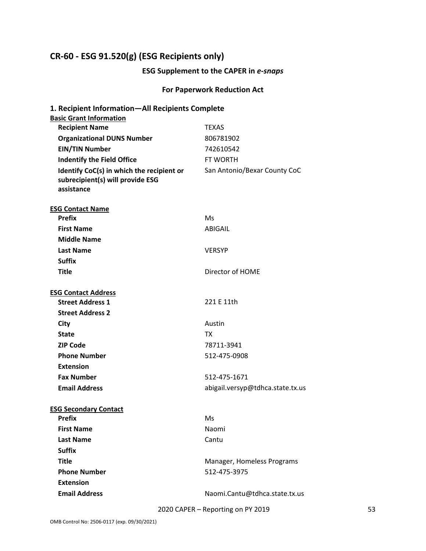# <span id="page-53-0"></span>**CR-60 - ESG 91.520(g) (ESG Recipients only)**

# **ESG Supplement to the CAPER in** *e-snaps*

# **For Paperwork Reduction Act**

| 1. Recipient Information-All Recipients Complete                                            |                                  |
|---------------------------------------------------------------------------------------------|----------------------------------|
| <b>Basic Grant Information</b>                                                              |                                  |
| <b>Recipient Name</b>                                                                       | <b>TEXAS</b>                     |
| <b>Organizational DUNS Number</b>                                                           | 806781902                        |
| <b>EIN/TIN Number</b>                                                                       | 742610542                        |
| <b>Indentify the Field Office</b>                                                           | FT WORTH                         |
| Identify CoC(s) in which the recipient or<br>subrecipient(s) will provide ESG<br>assistance | San Antonio/Bexar County CoC     |
| <b>ESG Contact Name</b>                                                                     |                                  |
| <b>Prefix</b>                                                                               | Ms                               |
| <b>First Name</b>                                                                           | ABIGAIL                          |
| <b>Middle Name</b>                                                                          |                                  |
| <b>Last Name</b>                                                                            | <b>VERSYP</b>                    |
| <b>Suffix</b>                                                                               |                                  |
| <b>Title</b>                                                                                | Director of HOME                 |
|                                                                                             |                                  |
| <b>ESG Contact Address</b>                                                                  |                                  |
| <b>Street Address 1</b>                                                                     | 221 F 11th                       |
| <b>Street Address 2</b>                                                                     |                                  |
| City                                                                                        | Austin                           |
| <b>State</b>                                                                                | ТX                               |
| <b>ZIP Code</b>                                                                             | 78711-3941                       |
| <b>Phone Number</b>                                                                         | 512-475-0908                     |
| <b>Extension</b>                                                                            |                                  |
| <b>Fax Number</b>                                                                           | 512-475-1671                     |
| <b>Email Address</b>                                                                        | abigail.versyp@tdhca.state.tx.us |
|                                                                                             |                                  |
| <b>ESG Secondary Contact</b><br><b>Prefix</b>                                               | Ms                               |
| <b>First Name</b>                                                                           | Naomi                            |
| <b>Last Name</b>                                                                            | Cantu                            |
| <b>Suffix</b>                                                                               |                                  |
| <b>Title</b>                                                                                |                                  |
| <b>Phone Number</b>                                                                         | Manager, Homeless Programs       |
|                                                                                             | 512-475-3975                     |
| <b>Extension</b><br><b>Email Address</b>                                                    |                                  |
|                                                                                             | Naomi.Cantu@tdhca.state.tx.us    |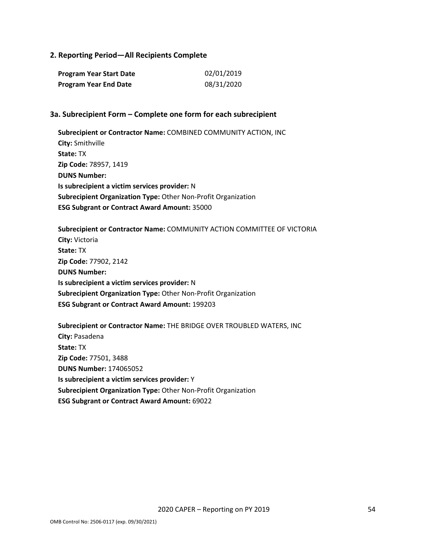### **2. Reporting Period—All Recipients Complete**

| Program Year Start Date      | 02/01/2019 |
|------------------------------|------------|
| <b>Program Year End Date</b> | 08/31/2020 |

#### **3a. Subrecipient Form – Complete one form for each subrecipient**

**Subrecipient or Contractor Name:** COMBINED COMMUNITY ACTION, INC **City:** Smithville **State:** TX **Zip Code:** 78957, 1419 **DUNS Number: Is subrecipient a victim services provider:** N **Subrecipient Organization Type:** Other Non-Profit Organization **ESG Subgrant or Contract Award Amount:** 35000

**Subrecipient or Contractor Name:** COMMUNITY ACTION COMMITTEE OF VICTORIA **City:** Victoria **State:** TX **Zip Code:** 77902, 2142 **DUNS Number: Is subrecipient a victim services provider:** N **Subrecipient Organization Type:** Other Non-Profit Organization **ESG Subgrant or Contract Award Amount:** 199203

**Subrecipient or Contractor Name:** THE BRIDGE OVER TROUBLED WATERS, INC **City:** Pasadena **State:** TX **Zip Code:** 77501, 3488 **DUNS Number:** 174065052 **Is subrecipient a victim services provider:** Y **Subrecipient Organization Type:** Other Non-Profit Organization **ESG Subgrant or Contract Award Amount:** 69022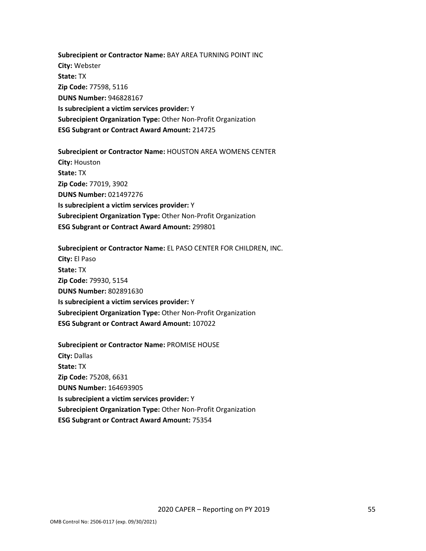**Subrecipient or Contractor Name:** BAY AREA TURNING POINT INC **City:** Webster **State:** TX **Zip Code:** 77598, 5116 **DUNS Number:** 946828167 **Is subrecipient a victim services provider:** Y **Subrecipient Organization Type:** Other Non-Profit Organization **ESG Subgrant or Contract Award Amount:** 214725

**Subrecipient or Contractor Name:** HOUSTON AREA WOMENS CENTER **City:** Houston **State:** TX **Zip Code:** 77019, 3902 **DUNS Number:** 021497276 **Is subrecipient a victim services provider:** Y **Subrecipient Organization Type:** Other Non-Profit Organization **ESG Subgrant or Contract Award Amount:** 299801

**Subrecipient or Contractor Name:** EL PASO CENTER FOR CHILDREN, INC. **City:** El Paso **State:** TX **Zip Code:** 79930, 5154 **DUNS Number:** 802891630 **Is subrecipient a victim services provider:** Y **Subrecipient Organization Type:** Other Non-Profit Organization **ESG Subgrant or Contract Award Amount:** 107022

**Subrecipient or Contractor Name:** PROMISE HOUSE **City:** Dallas **State:** TX **Zip Code:** 75208, 6631 **DUNS Number:** 164693905 **Is subrecipient a victim services provider:** Y **Subrecipient Organization Type:** Other Non-Profit Organization **ESG Subgrant or Contract Award Amount:** 75354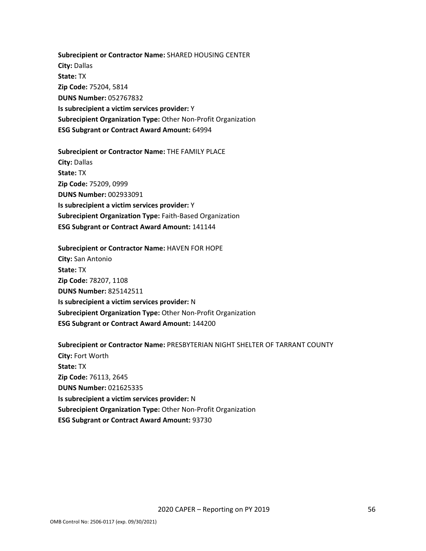**Subrecipient or Contractor Name:** SHARED HOUSING CENTER **City:** Dallas **State:** TX **Zip Code:** 75204, 5814 **DUNS Number:** 052767832 **Is subrecipient a victim services provider:** Y **Subrecipient Organization Type:** Other Non-Profit Organization **ESG Subgrant or Contract Award Amount:** 64994

**Subrecipient or Contractor Name:** THE FAMILY PLACE **City:** Dallas **State:** TX **Zip Code:** 75209, 0999 **DUNS Number:** 002933091 **Is subrecipient a victim services provider:** Y **Subrecipient Organization Type:** Faith-Based Organization **ESG Subgrant or Contract Award Amount:** 141144

**Subrecipient or Contractor Name:** HAVEN FOR HOPE **City:** San Antonio **State:** TX **Zip Code:** 78207, 1108 **DUNS Number:** 825142511 **Is subrecipient a victim services provider:** N **Subrecipient Organization Type:** Other Non-Profit Organization **ESG Subgrant or Contract Award Amount:** 144200

**Subrecipient or Contractor Name:** PRESBYTERIAN NIGHT SHELTER OF TARRANT COUNTY **City:** Fort Worth **State:** TX **Zip Code:** 76113, 2645 **DUNS Number:** 021625335 **Is subrecipient a victim services provider:** N **Subrecipient Organization Type:** Other Non-Profit Organization **ESG Subgrant or Contract Award Amount:** 93730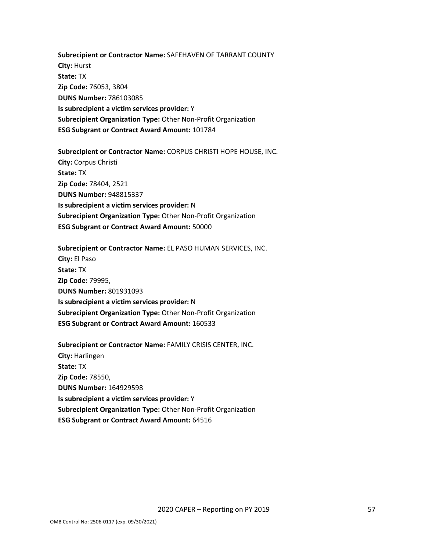**Subrecipient or Contractor Name:** SAFEHAVEN OF TARRANT COUNTY **City:** Hurst **State:** TX **Zip Code:** 76053, 3804 **DUNS Number:** 786103085 **Is subrecipient a victim services provider:** Y **Subrecipient Organization Type:** Other Non-Profit Organization **ESG Subgrant or Contract Award Amount:** 101784

**Subrecipient or Contractor Name:** CORPUS CHRISTI HOPE HOUSE, INC. **City:** Corpus Christi **State:** TX **Zip Code:** 78404, 2521 **DUNS Number:** 948815337 **Is subrecipient a victim services provider:** N **Subrecipient Organization Type:** Other Non-Profit Organization **ESG Subgrant or Contract Award Amount:** 50000

**Subrecipient or Contractor Name:** EL PASO HUMAN SERVICES, INC. **City:** El Paso **State:** TX **Zip Code:** 79995, **DUNS Number:** 801931093 **Is subrecipient a victim services provider:** N **Subrecipient Organization Type:** Other Non-Profit Organization **ESG Subgrant or Contract Award Amount:** 160533

**Subrecipient or Contractor Name:** FAMILY CRISIS CENTER, INC. **City:** Harlingen **State:** TX **Zip Code:** 78550, **DUNS Number:** 164929598 **Is subrecipient a victim services provider:** Y **Subrecipient Organization Type:** Other Non-Profit Organization **ESG Subgrant or Contract Award Amount:** 64516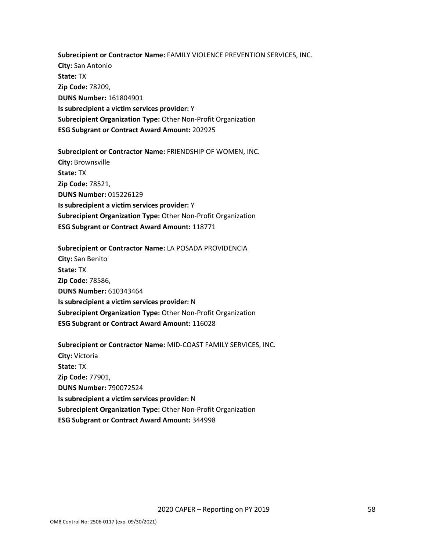**Subrecipient or Contractor Name:** FAMILY VIOLENCE PREVENTION SERVICES, INC. **City:** San Antonio **State:** TX **Zip Code:** 78209, **DUNS Number:** 161804901 **Is subrecipient a victim services provider:** Y **Subrecipient Organization Type:** Other Non-Profit Organization **ESG Subgrant or Contract Award Amount:** 202925

**Subrecipient or Contractor Name:** FRIENDSHIP OF WOMEN, INC. **City:** Brownsville **State:** TX **Zip Code:** 78521, **DUNS Number:** 015226129 **Is subrecipient a victim services provider:** Y **Subrecipient Organization Type:** Other Non-Profit Organization **ESG Subgrant or Contract Award Amount:** 118771

**Subrecipient or Contractor Name:** LA POSADA PROVIDENCIA **City:** San Benito **State:** TX **Zip Code:** 78586, **DUNS Number:** 610343464 **Is subrecipient a victim services provider:** N **Subrecipient Organization Type:** Other Non-Profit Organization **ESG Subgrant or Contract Award Amount:** 116028

**Subrecipient or Contractor Name:** MID-COAST FAMILY SERVICES, INC. **City:** Victoria **State:** TX **Zip Code:** 77901, **DUNS Number:** 790072524 **Is subrecipient a victim services provider:** N **Subrecipient Organization Type:** Other Non-Profit Organization **ESG Subgrant or Contract Award Amount:** 344998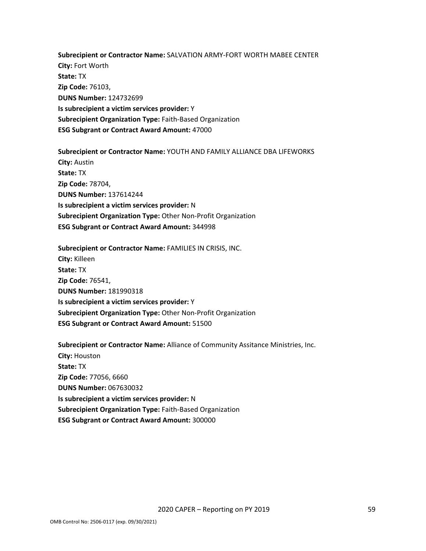**Subrecipient or Contractor Name:** SALVATION ARMY-FORT WORTH MABEE CENTER **City:** Fort Worth **State:** TX **Zip Code:** 76103, **DUNS Number:** 124732699 **Is subrecipient a victim services provider:** Y **Subrecipient Organization Type:** Faith-Based Organization **ESG Subgrant or Contract Award Amount:** 47000

**Subrecipient or Contractor Name:** YOUTH AND FAMILY ALLIANCE DBA LIFEWORKS **City:** Austin **State:** TX **Zip Code:** 78704, **DUNS Number:** 137614244 **Is subrecipient a victim services provider:** N **Subrecipient Organization Type:** Other Non-Profit Organization **ESG Subgrant or Contract Award Amount:** 344998

**Subrecipient or Contractor Name:** FAMILIES IN CRISIS, INC. **City:** Killeen **State:** TX **Zip Code:** 76541, **DUNS Number:** 181990318 **Is subrecipient a victim services provider:** Y **Subrecipient Organization Type:** Other Non-Profit Organization **ESG Subgrant or Contract Award Amount:** 51500

**Subrecipient or Contractor Name:** Alliance of Community Assitance Ministries, Inc. **City:** Houston **State:** TX **Zip Code:** 77056, 6660 **DUNS Number:** 067630032 **Is subrecipient a victim services provider:** N **Subrecipient Organization Type:** Faith-Based Organization **ESG Subgrant or Contract Award Amount:** 300000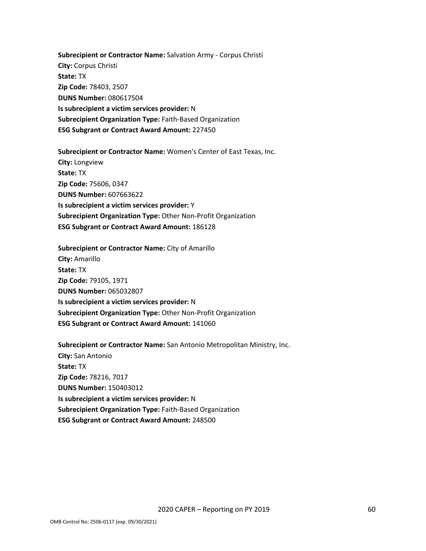**Subrecipient or Contractor Name:** Salvation Army - Corpus Christi **City:** Corpus Christi **State:** TX **Zip Code:** 78403, 2507 **DUNS Number:** 080617504 **Is subrecipient a victim services provider:** N **Subrecipient Organization Type:** Faith-Based Organization **ESG Subgrant or Contract Award Amount:** 227450

**Subrecipient or Contractor Name:** Women's Center of East Texas, Inc. **City:** Longview **State:** TX **Zip Code:** 75606, 0347 **DUNS Number:** 607663622 **Is subrecipient a victim services provider:** Y **Subrecipient Organization Type:** Other Non-Profit Organization **ESG Subgrant or Contract Award Amount:** 186128

**Subrecipient or Contractor Name:** City of Amarillo **City:** Amarillo **State:** TX **Zip Code:** 79105, 1971 **DUNS Number:** 065032807 **Is subrecipient a victim services provider:** N **Subrecipient Organization Type:** Other Non-Profit Organization **ESG Subgrant or Contract Award Amount:** 141060

**Subrecipient or Contractor Name:** San Antonio Metropolitan Ministry, Inc. **City:** San Antonio **State:** TX **Zip Code:** 78216, 7017 **DUNS Number:** 150403012 **Is subrecipient a victim services provider:** N **Subrecipient Organization Type:** Faith-Based Organization **ESG Subgrant or Contract Award Amount:** 248500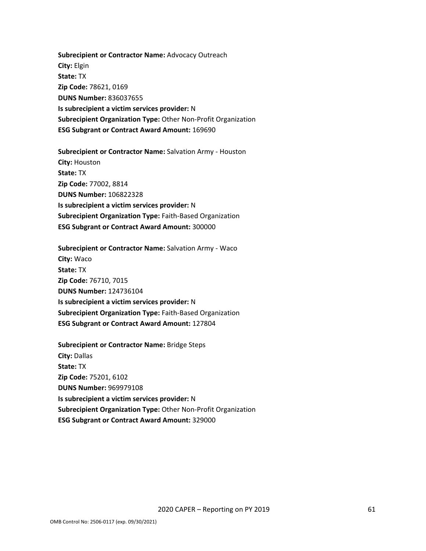**Subrecipient or Contractor Name:** Advocacy Outreach **City:** Elgin **State:** TX **Zip Code:** 78621, 0169 **DUNS Number:** 836037655 **Is subrecipient a victim services provider:** N **Subrecipient Organization Type:** Other Non-Profit Organization **ESG Subgrant or Contract Award Amount:** 169690

**Subrecipient or Contractor Name:** Salvation Army - Houston **City:** Houston **State:** TX **Zip Code:** 77002, 8814 **DUNS Number:** 106822328 **Is subrecipient a victim services provider:** N **Subrecipient Organization Type:** Faith-Based Organization **ESG Subgrant or Contract Award Amount:** 300000

**Subrecipient or Contractor Name:** Salvation Army - Waco **City:** Waco **State:** TX **Zip Code:** 76710, 7015 **DUNS Number:** 124736104 **Is subrecipient a victim services provider:** N **Subrecipient Organization Type:** Faith-Based Organization **ESG Subgrant or Contract Award Amount:** 127804

**Subrecipient or Contractor Name:** Bridge Steps **City:** Dallas **State:** TX **Zip Code:** 75201, 6102 **DUNS Number:** 969979108 **Is subrecipient a victim services provider:** N **Subrecipient Organization Type:** Other Non-Profit Organization **ESG Subgrant or Contract Award Amount:** 329000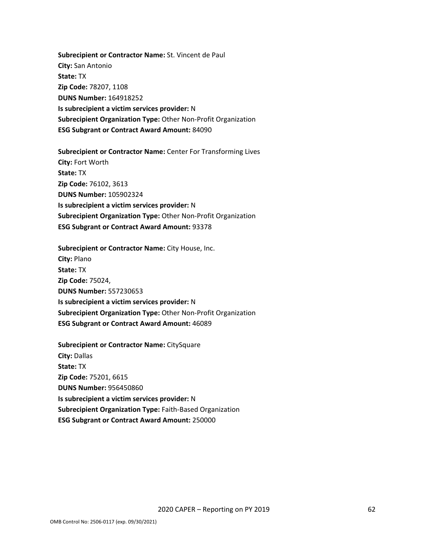**Subrecipient or Contractor Name:** St. Vincent de Paul **City:** San Antonio **State:** TX **Zip Code:** 78207, 1108 **DUNS Number:** 164918252 **Is subrecipient a victim services provider:** N **Subrecipient Organization Type:** Other Non-Profit Organization **ESG Subgrant or Contract Award Amount:** 84090

**Subrecipient or Contractor Name:** Center For Transforming Lives **City:** Fort Worth **State:** TX **Zip Code:** 76102, 3613 **DUNS Number:** 105902324 **Is subrecipient a victim services provider:** N **Subrecipient Organization Type:** Other Non-Profit Organization **ESG Subgrant or Contract Award Amount:** 93378

**Subrecipient or Contractor Name:** City House, Inc. **City:** Plano **State:** TX **Zip Code:** 75024, **DUNS Number:** 557230653 **Is subrecipient a victim services provider:** N **Subrecipient Organization Type:** Other Non-Profit Organization **ESG Subgrant or Contract Award Amount:** 46089

**Subrecipient or Contractor Name:** CitySquare **City:** Dallas **State:** TX **Zip Code:** 75201, 6615 **DUNS Number:** 956450860 **Is subrecipient a victim services provider:** N **Subrecipient Organization Type:** Faith-Based Organization **ESG Subgrant or Contract Award Amount:** 250000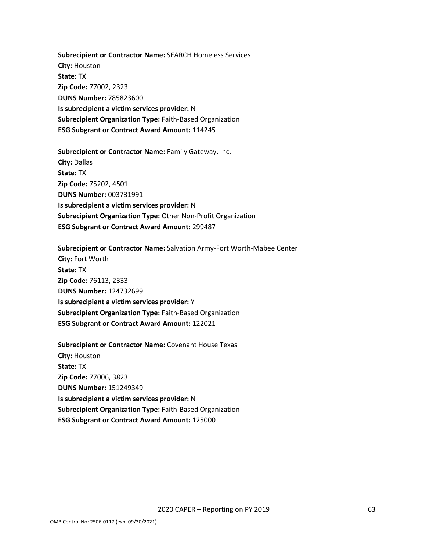**Subrecipient or Contractor Name:** SEARCH Homeless Services **City:** Houston **State:** TX **Zip Code:** 77002, 2323 **DUNS Number:** 785823600 **Is subrecipient a victim services provider:** N **Subrecipient Organization Type:** Faith-Based Organization **ESG Subgrant or Contract Award Amount:** 114245

**Subrecipient or Contractor Name:** Family Gateway, Inc. **City:** Dallas **State:** TX **Zip Code:** 75202, 4501 **DUNS Number:** 003731991 **Is subrecipient a victim services provider:** N **Subrecipient Organization Type:** Other Non-Profit Organization **ESG Subgrant or Contract Award Amount:** 299487

**Subrecipient or Contractor Name:** Salvation Army-Fort Worth-Mabee Center **City:** Fort Worth **State:** TX **Zip Code:** 76113, 2333 **DUNS Number:** 124732699 **Is subrecipient a victim services provider:** Y **Subrecipient Organization Type:** Faith-Based Organization **ESG Subgrant or Contract Award Amount:** 122021

**Subrecipient or Contractor Name:** Covenant House Texas **City:** Houston **State:** TX **Zip Code:** 77006, 3823 **DUNS Number:** 151249349 **Is subrecipient a victim services provider:** N **Subrecipient Organization Type:** Faith-Based Organization **ESG Subgrant or Contract Award Amount:** 125000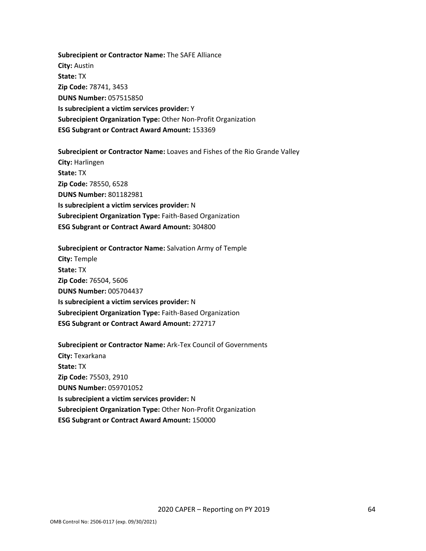**Subrecipient or Contractor Name:** The SAFE Alliance **City:** Austin **State:** TX **Zip Code:** 78741, 3453 **DUNS Number:** 057515850 **Is subrecipient a victim services provider:** Y **Subrecipient Organization Type:** Other Non-Profit Organization **ESG Subgrant or Contract Award Amount:** 153369

**Subrecipient or Contractor Name:** Loaves and Fishes of the Rio Grande Valley **City:** Harlingen **State:** TX **Zip Code:** 78550, 6528 **DUNS Number:** 801182981 **Is subrecipient a victim services provider:** N **Subrecipient Organization Type:** Faith-Based Organization **ESG Subgrant or Contract Award Amount:** 304800

**Subrecipient or Contractor Name:** Salvation Army of Temple **City:** Temple **State:** TX **Zip Code:** 76504, 5606 **DUNS Number:** 005704437 **Is subrecipient a victim services provider:** N **Subrecipient Organization Type:** Faith-Based Organization **ESG Subgrant or Contract Award Amount:** 272717

**Subrecipient or Contractor Name:** Ark-Tex Council of Governments **City:** Texarkana **State:** TX **Zip Code:** 75503, 2910 **DUNS Number:** 059701052 **Is subrecipient a victim services provider:** N **Subrecipient Organization Type:** Other Non-Profit Organization **ESG Subgrant or Contract Award Amount:** 150000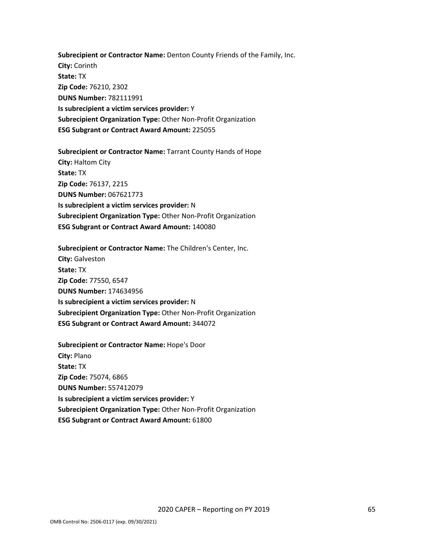**Subrecipient or Contractor Name:** Denton County Friends of the Family, Inc. **City:** Corinth **State:** TX **Zip Code:** 76210, 2302 **DUNS Number:** 782111991 **Is subrecipient a victim services provider:** Y **Subrecipient Organization Type:** Other Non-Profit Organization **ESG Subgrant or Contract Award Amount:** 225055

**Subrecipient or Contractor Name:** Tarrant County Hands of Hope **City:** Haltom City **State:** TX **Zip Code:** 76137, 2215 **DUNS Number:** 067621773 **Is subrecipient a victim services provider:** N **Subrecipient Organization Type:** Other Non-Profit Organization **ESG Subgrant or Contract Award Amount:** 140080

**Subrecipient or Contractor Name:** The Children's Center, Inc. **City:** Galveston **State:** TX **Zip Code:** 77550, 6547 **DUNS Number:** 174634956 **Is subrecipient a victim services provider:** N **Subrecipient Organization Type:** Other Non-Profit Organization **ESG Subgrant or Contract Award Amount:** 344072

**Subrecipient or Contractor Name:** Hope's Door **City:** Plano **State:** TX **Zip Code:** 75074, 6865 **DUNS Number:** 557412079 **Is subrecipient a victim services provider:** Y **Subrecipient Organization Type:** Other Non-Profit Organization **ESG Subgrant or Contract Award Amount:** 61800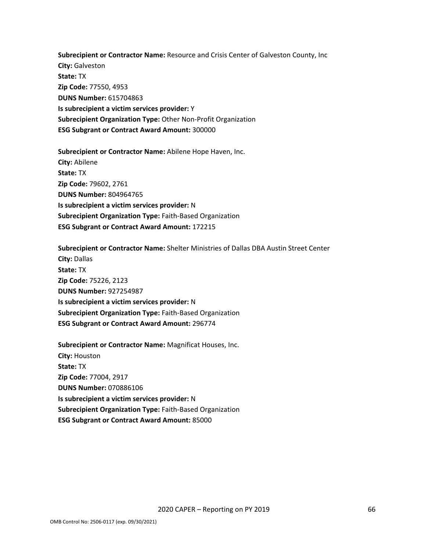**Subrecipient or Contractor Name:** Resource and Crisis Center of Galveston County, Inc **City:** Galveston **State:** TX **Zip Code:** 77550, 4953 **DUNS Number:** 615704863 **Is subrecipient a victim services provider:** Y **Subrecipient Organization Type:** Other Non-Profit Organization **ESG Subgrant or Contract Award Amount:** 300000

**Subrecipient or Contractor Name:** Abilene Hope Haven, Inc. **City:** Abilene **State:** TX **Zip Code:** 79602, 2761 **DUNS Number:** 804964765 **Is subrecipient a victim services provider:** N **Subrecipient Organization Type:** Faith-Based Organization **ESG Subgrant or Contract Award Amount:** 172215

**Subrecipient or Contractor Name:** Shelter Ministries of Dallas DBA Austin Street Center **City:** Dallas **State:** TX **Zip Code:** 75226, 2123 **DUNS Number:** 927254987 **Is subrecipient a victim services provider:** N **Subrecipient Organization Type:** Faith-Based Organization **ESG Subgrant or Contract Award Amount:** 296774

**Subrecipient or Contractor Name:** Magnificat Houses, Inc. **City:** Houston **State:** TX **Zip Code:** 77004, 2917 **DUNS Number:** 070886106 **Is subrecipient a victim services provider:** N **Subrecipient Organization Type:** Faith-Based Organization **ESG Subgrant or Contract Award Amount:** 85000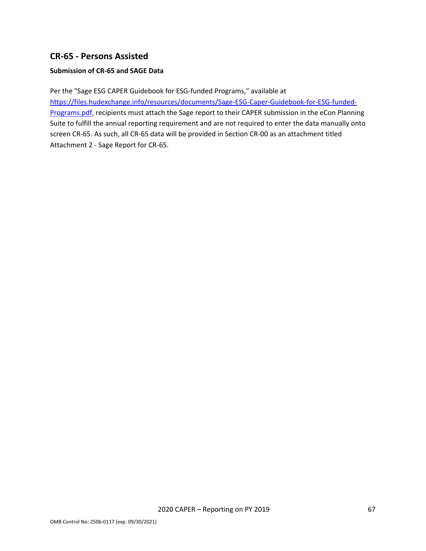# <span id="page-67-0"></span>**CR-65 - Persons Assisted**

### **Submission of CR-65 and SAGE Data**

Per the "Sage ESG CAPER Guidebook for ESG-funded Programs," available at [https://files.hudexchange.info/resources/documents/Sage-ESG-Caper-Guidebook-for-ESG-funded-](https://files.hudexchange.info/resources/documents/Sage-ESG-Caper-Guidebook-for-ESG-funded-Programs.pdf)[Programs.pdf,](https://files.hudexchange.info/resources/documents/Sage-ESG-Caper-Guidebook-for-ESG-funded-Programs.pdf) recipients must attach the Sage report to their CAPER submission in the eCon Planning Suite to fulfill the annual reporting requirement and are not required to enter the data manually onto screen CR-65. As such, all CR-65 data will be provided in Section CR-00 as an attachment titled Attachment 2 - Sage Report for CR-65.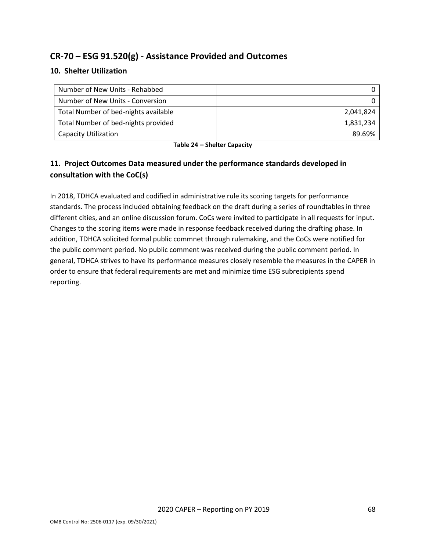# <span id="page-68-0"></span>**CR-70 – ESG 91.520(g) - Assistance Provided and Outcomes**

# **10. Shelter Utilization**

| Number of New Units - Rehabbed       |           |
|--------------------------------------|-----------|
| Number of New Units - Conversion     |           |
| Total Number of bed-nights available | 2,041,824 |
| Total Number of bed-nights provided  | 1,831,234 |
| Capacity Utilization                 | 89.69%    |

**Table 24 – Shelter Capacity**

# **11. Project Outcomes Data measured under the performance standards developed in consultation with the CoC(s)**

In 2018, TDHCA evaluated and codified in administrative rule its scoring targets for performance standards. The process included obtaining feedback on the draft during a series of roundtables in three different cities, and an online discussion forum. CoCs were invited to participate in all requests for input. Changes to the scoring items were made in response feedback received during the drafting phase. In addition, TDHCA solicited formal public commnet through rulemaking, and the CoCs were notified for the public comment period. No public comment was received during the public comment period. In general, TDHCA strives to have its performance measures closely resemble the measures in the CAPER in order to ensure that federal requirements are met and minimize time ESG subrecipients spend reporting.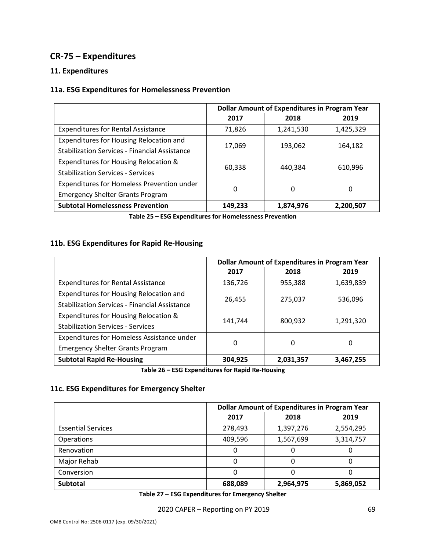# <span id="page-69-0"></span>**CR-75 – Expenditures**

## **11. Expenditures**

## **11a. ESG Expenditures for Homelessness Prevention**

|                                                      | <b>Dollar Amount of Expenditures in Program Year</b> |           |           |
|------------------------------------------------------|------------------------------------------------------|-----------|-----------|
|                                                      | 2017                                                 | 2018      | 2019      |
| <b>Expenditures for Rental Assistance</b>            | 71,826                                               | 1,241,530 | 1,425,329 |
| Expenditures for Housing Relocation and              |                                                      | 193,062   | 164,182   |
| <b>Stabilization Services - Financial Assistance</b> | 17,069                                               |           |           |
| Expenditures for Housing Relocation &                | 60,338                                               | 440,384   | 610,996   |
| <b>Stabilization Services - Services</b>             |                                                      |           |           |
| Expenditures for Homeless Prevention under           | 0                                                    | 0         | 0         |
| <b>Emergency Shelter Grants Program</b>              |                                                      |           |           |
| <b>Subtotal Homelessness Prevention</b>              | 149,233                                              | 1,874,976 | 2,200,507 |

**Table 25 – ESG Expenditures for Homelessness Prevention**

# **11b. ESG Expenditures for Rapid Re-Housing**

|                                                      | <b>Dollar Amount of Expenditures in Program Year</b> |           |           |
|------------------------------------------------------|------------------------------------------------------|-----------|-----------|
|                                                      | 2017                                                 | 2018      | 2019      |
| <b>Expenditures for Rental Assistance</b>            | 136,726                                              | 955,388   | 1,639,839 |
| Expenditures for Housing Relocation and              | 26,455                                               | 275,037   | 536,096   |
| <b>Stabilization Services - Financial Assistance</b> |                                                      |           |           |
| Expenditures for Housing Relocation &                | 141,744                                              | 800,932   | 1,291,320 |
| <b>Stabilization Services - Services</b>             |                                                      |           |           |
| Expenditures for Homeless Assistance under           | $\Omega$                                             | 0         | 0         |
| <b>Emergency Shelter Grants Program</b>              |                                                      |           |           |
| <b>Subtotal Rapid Re-Housing</b>                     | 304,925                                              | 2,031,357 | 3,467,255 |

**Table 26 – ESG Expenditures for Rapid Re-Housing**

# **11c. ESG Expenditures for Emergency Shelter**

|                           | <b>Dollar Amount of Expenditures in Program Year</b> |           |           |
|---------------------------|------------------------------------------------------|-----------|-----------|
|                           | 2017                                                 | 2018      | 2019      |
| <b>Essential Services</b> | 278,493                                              | 1,397,276 | 2,554,295 |
| <b>Operations</b>         | 409,596                                              | 1,567,699 | 3,314,757 |
| Renovation                | 0                                                    |           | O         |
| Major Rehab               | 0                                                    |           | 0         |
| Conversion                | 0                                                    |           |           |
| <b>Subtotal</b>           | 688,089                                              | 2,964,975 | 5,869,052 |

**Table 27 – ESG Expenditures for Emergency Shelter**